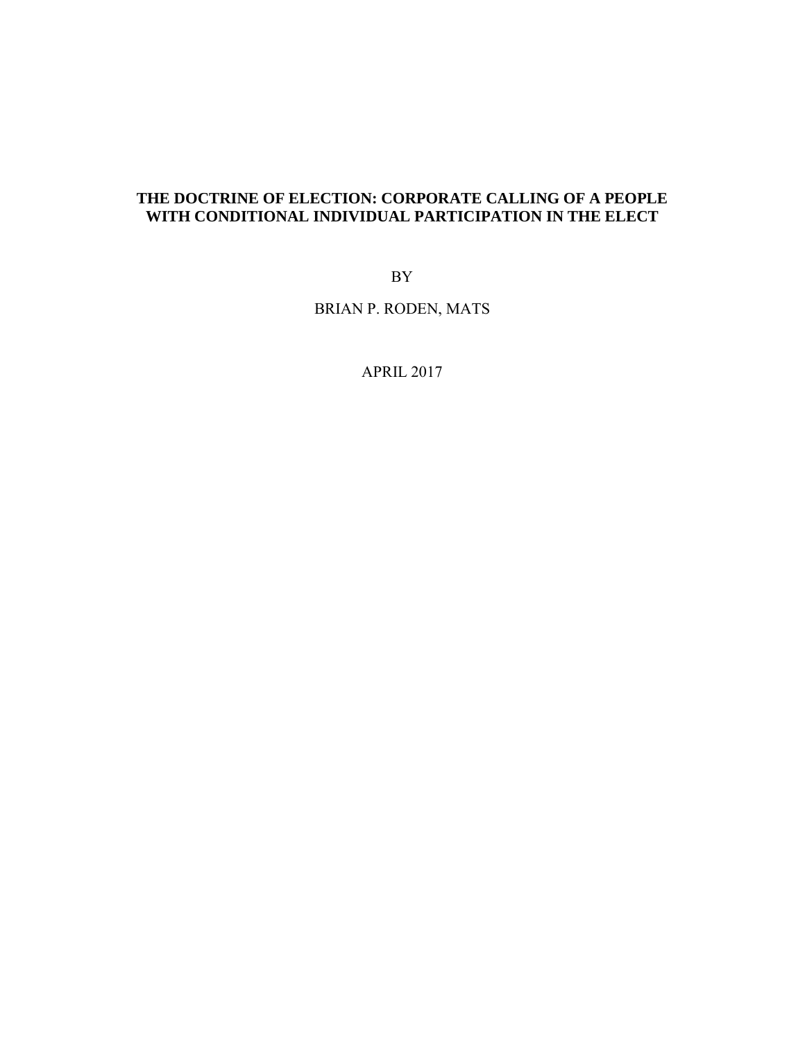## **THE DOCTRINE OF ELECTION: CORPORATE CALLING OF A PEOPLE WITH CONDITIONAL INDIVIDUAL PARTICIPATION IN THE ELECT**

BY

BRIAN P. RODEN, MATS

APRIL 2017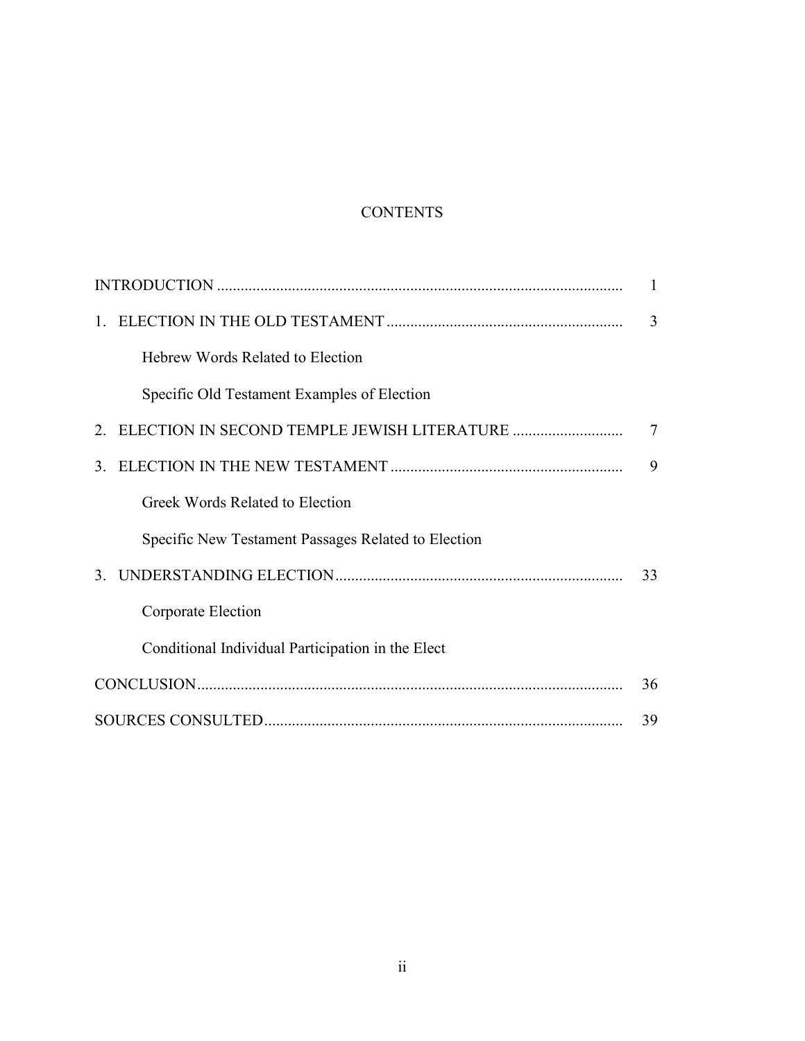# **CONTENTS**

|    |                                                     | 1  |
|----|-----------------------------------------------------|----|
|    |                                                     | 3  |
|    | Hebrew Words Related to Election                    |    |
|    | Specific Old Testament Examples of Election         |    |
|    | 2. ELECTION IN SECOND TEMPLE JEWISH LITERATURE      | 7  |
| 3. |                                                     | 9  |
|    | Greek Words Related to Election                     |    |
|    | Specific New Testament Passages Related to Election |    |
|    |                                                     | 33 |
|    | Corporate Election                                  |    |
|    | Conditional Individual Participation in the Elect   |    |
|    |                                                     |    |
|    |                                                     | 39 |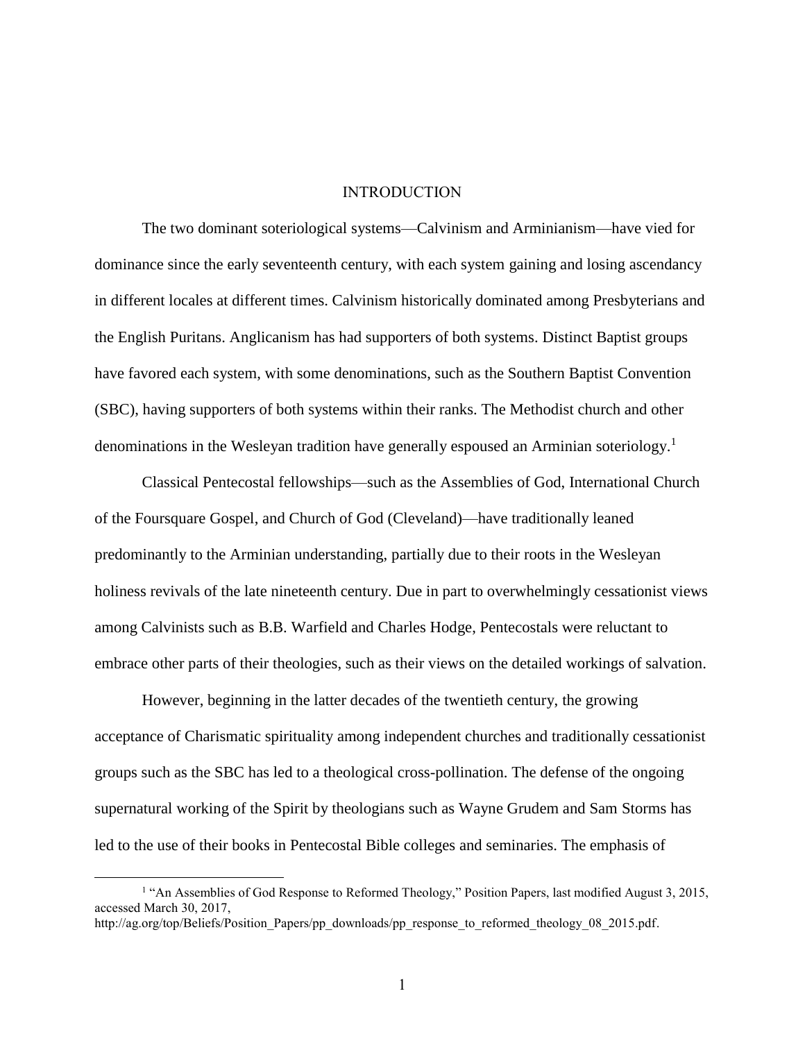#### INTRODUCTION

The two dominant soteriological systems—Calvinism and Arminianism—have vied for dominance since the early seventeenth century, with each system gaining and losing ascendancy in different locales at different times. Calvinism historically dominated among Presbyterians and the English Puritans. Anglicanism has had supporters of both systems. Distinct Baptist groups have favored each system, with some denominations, such as the Southern Baptist Convention (SBC), having supporters of both systems within their ranks. The Methodist church and other denominations in the Wesleyan tradition have generally espoused an Arminian soteriology.<sup>1</sup>

Classical Pentecostal fellowships—such as the Assemblies of God, International Church of the Foursquare Gospel, and Church of God (Cleveland)—have traditionally leaned predominantly to the Arminian understanding, partially due to their roots in the Wesleyan holiness revivals of the late nineteenth century. Due in part to overwhelmingly cessationist views among Calvinists such as B.B. Warfield and Charles Hodge, Pentecostals were reluctant to embrace other parts of their theologies, such as their views on the detailed workings of salvation.

However, beginning in the latter decades of the twentieth century, the growing acceptance of Charismatic spirituality among independent churches and traditionally cessationist groups such as the SBC has led to a theological cross-pollination. The defense of the ongoing supernatural working of the Spirit by theologians such as Wayne Grudem and Sam Storms has led to the use of their books in Pentecostal Bible colleges and seminaries. The emphasis of

<sup>&</sup>lt;sup>1</sup> "An Assemblies of God Response to Reformed Theology," Position Papers, last modified August 3, 2015, accessed March 30, 2017, http://ag.org/top/Beliefs/Position\_Papers/pp\_downloads/pp\_response\_to\_reformed\_theology\_08\_2015.pdf.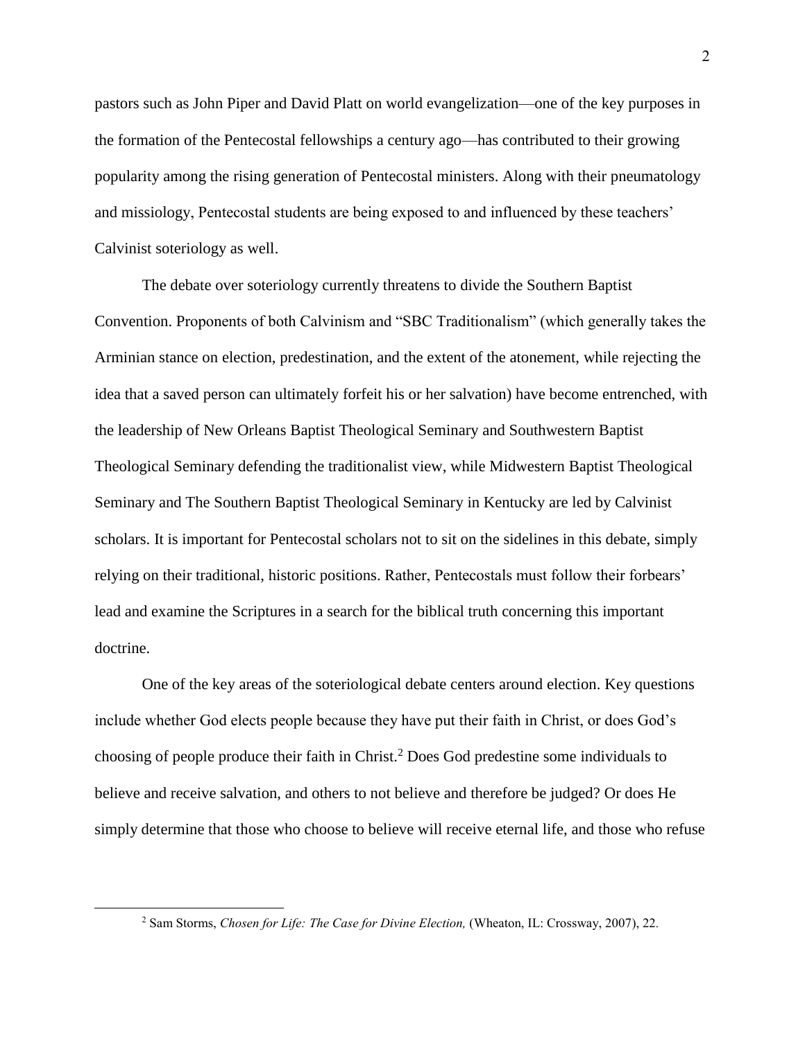pastors such as John Piper and David Platt on world evangelization—one of the key purposes in the formation of the Pentecostal fellowships a century ago—has contributed to their growing popularity among the rising generation of Pentecostal ministers. Along with their pneumatology and missiology, Pentecostal students are being exposed to and influenced by these teachers' Calvinist soteriology as well.

The debate over soteriology currently threatens to divide the Southern Baptist Convention. Proponents of both Calvinism and "SBC Traditionalism" (which generally takes the Arminian stance on election, predestination, and the extent of the atonement, while rejecting the idea that a saved person can ultimately forfeit his or her salvation) have become entrenched, with the leadership of New Orleans Baptist Theological Seminary and Southwestern Baptist Theological Seminary defending the traditionalist view, while Midwestern Baptist Theological Seminary and The Southern Baptist Theological Seminary in Kentucky are led by Calvinist scholars. It is important for Pentecostal scholars not to sit on the sidelines in this debate, simply relying on their traditional, historic positions. Rather, Pentecostals must follow their forbears' lead and examine the Scriptures in a search for the biblical truth concerning this important doctrine.

One of the key areas of the soteriological debate centers around election. Key questions include whether God elects people because they have put their faith in Christ, or does God's choosing of people produce their faith in Christ.<sup>2</sup> Does God predestine some individuals to believe and receive salvation, and others to not believe and therefore be judged? Or does He simply determine that those who choose to believe will receive eternal life, and those who refuse

<sup>2</sup> Sam Storms, *Chosen for Life: The Case for Divine Election,* (Wheaton, IL: Crossway, 2007), 22*.*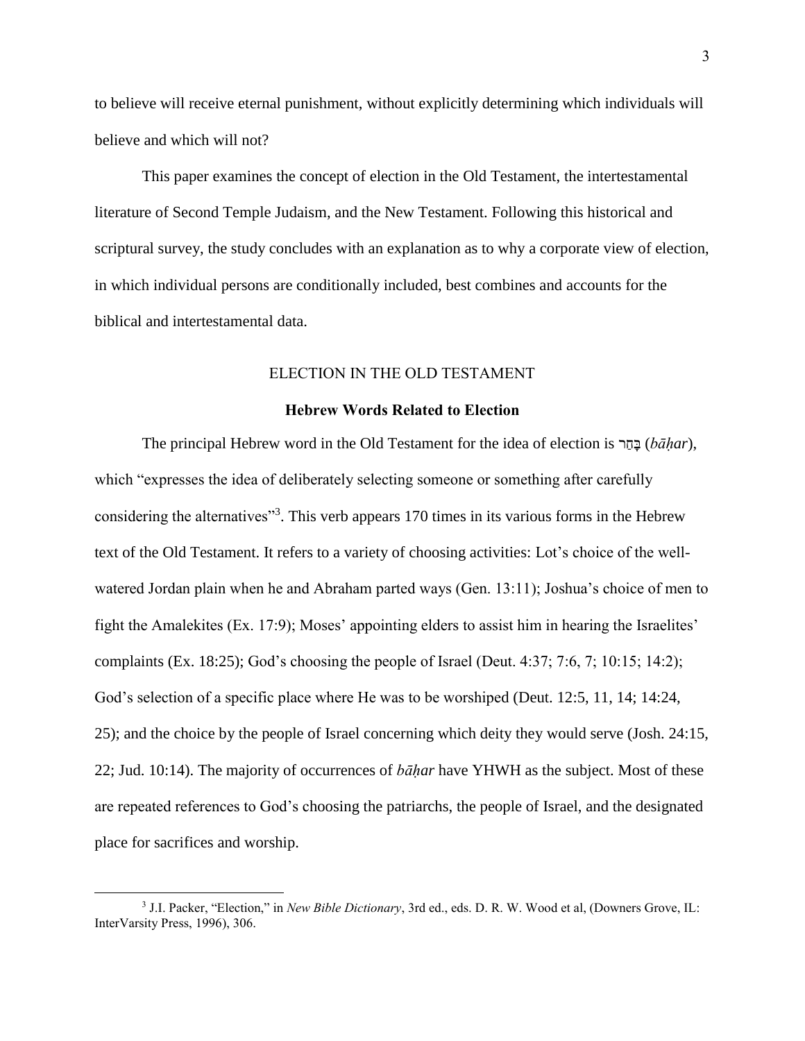to believe will receive eternal punishment, without explicitly determining which individuals will believe and which will not?

This paper examines the concept of election in the Old Testament, the intertestamental literature of Second Temple Judaism, and the New Testament. Following this historical and scriptural survey, the study concludes with an explanation as to why a corporate view of election, in which individual persons are conditionally included, best combines and accounts for the biblical and intertestamental data.

#### ELECTION IN THE OLD TESTAMENT

#### Hebrew Words Related to Election

The principal Hebrew word in the Old Testament for the idea of election is רַחָּב) *bāḥar*), which "expresses the idea of deliberately selecting someone or something after carefully considering the alternatives"<sup>3</sup>. This verb appears 170 times in its various forms in the Hebrew text of the Old Testament. It refers to a variety of choosing activities: Lot's choice of the wellwatered Jordan plain when he and Abraham parted ways (Gen. 13:11); Joshua's choice of men to fight the Amalekites (Ex. 17:9); Moses' appointing elders to assist him in hearing the Israelites' complaints (Ex. 18:25); God's choosing the people of Israel (Deut. 4:37; 7:6, 7; 10:15; 14:2); God's selection of a specific place where He was to be worshiped (Deut. 12:5, 11, 14: 14:24, 25); and the choice by the people of Israel concerning which deity they would serve (Josh. 24:15, 22; Jud. 10:14). The majority of occurrences of *bāḥar* have YHWH as the subject. Most of these are repeated references to God's choosing the patriarchs, the people of Israel, and the designated place for sacrifices and worship.

<sup>3</sup> J.I. Packer, "Election," in *New Bible Dictionary*, 3rd ed., eds. D. R. W. Wood et al, (Downers Grove, IL: InterVarsity Press, 1996), 306.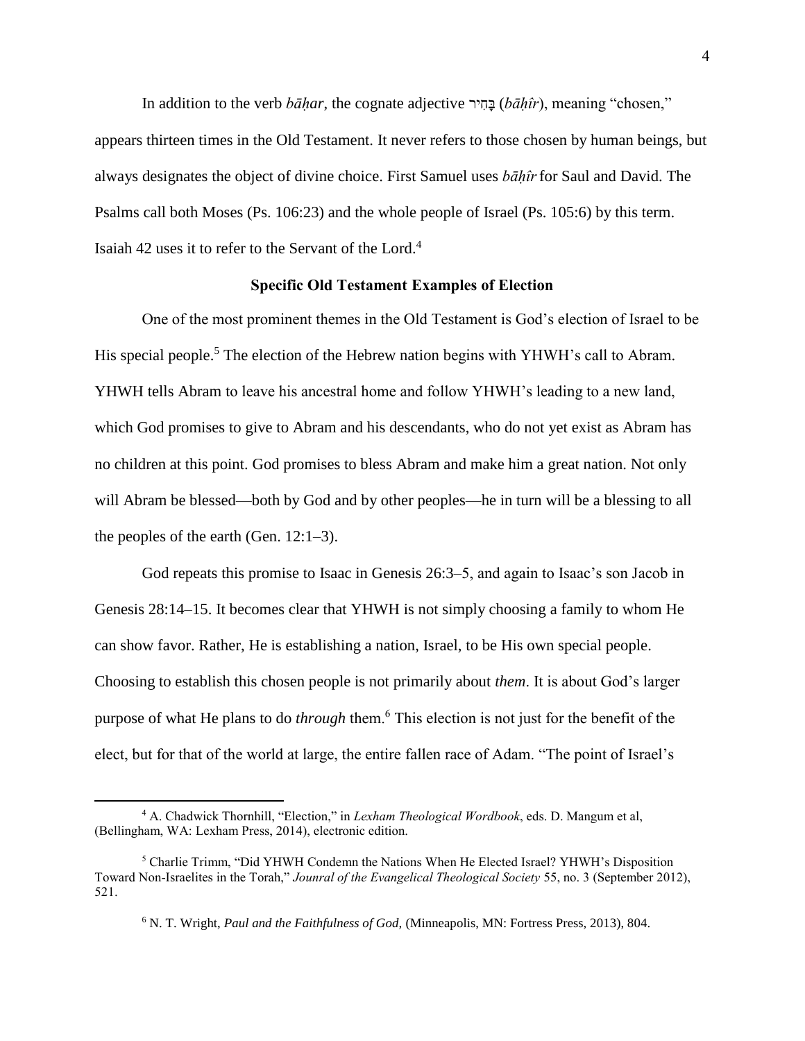In addition to the verb *bāḥar*, the cognate adjective יר ִח ָּב) *bāḥîr*), meaning "chosen," appears thirteen times in the Old Testament. It never refers to those chosen by human beings, but always designates the object of divine choice. First Samuel uses *bāḥîr*for Saul and David. The Psalms call both Moses (Ps. 106:23) and the whole people of Israel (Ps. 105:6) by this term. Isaiah 42 uses it to refer to the Servant of the Lord.<sup>4</sup>

## Specific Old Testament Examples of Election

One of the most prominent themes in the Old Testament is God's election of Israel to be His special people.<sup>5</sup> The election of the Hebrew nation begins with YHWH's call to Abram. YHWH tells Abram to leave his ancestral home and follow YHWH's leading to a new land, which God promises to give to Abram and his descendants, who do not yet exist as Abram has no children at this point. God promises to bless Abram and make him a great nation. Not only will Abram be blessed—both by God and by other peoples—he in turn will be a blessing to all the peoples of the earth (Gen. 12:1–3).

God repeats this promise to Isaac in Genesis 26:3–5, and again to Isaac's son Jacob in Genesis 28:14–15. It becomes clear that YHWH is not simply choosing a family to whom He can show favor. Rather, He is establishing a nation, Israel, to be His own special people. Choosing to establish this chosen people is not primarily about *them*. It is about God's larger purpose of what He plans to do *through* them.<sup>6</sup> This election is not just for the benefit of the elect, but for that of the world at large, the entire fallen race of Adam. "The point of Israel's

<sup>4</sup> A. Chadwick Thornhill, "Election," in *Lexham Theological Wordbook*, eds. D. Mangum et al, (Bellingham, WA: Lexham Press, 2014), electronic edition.

<sup>5</sup> Charlie Trimm, "Did YHWH Condemn the Nations When He Elected Israel? YHWH's Disposition Toward Non-Israelites in the Torah," *Jounral of the Evangelical Theological Society* 55, no. 3 (September 2012), 521.

<sup>6</sup> N. T. Wright, *Paul and the Faithfulness of God,* (Minneapolis, MN: Fortress Press, 2013), 804.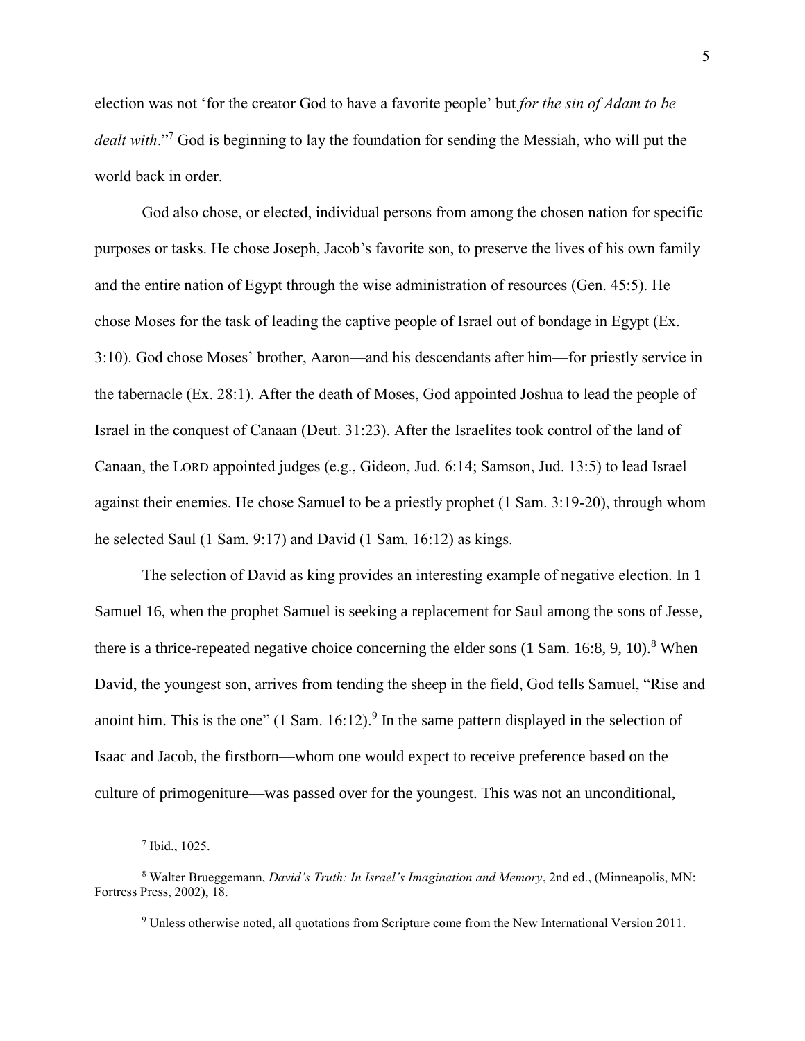election was not 'for the creator God to have a favorite people' but *for the sin of Adam to be dealt with*." <sup>7</sup> God is beginning to lay the foundation for sending the Messiah, who will put the world back in order.

God also chose, or elected, individual persons from among the chosen nation for specific purposes or tasks. He chose Joseph, Jacob's favorite son, to preserve the lives of his own family and the entire nation of Egypt through the wise administration of resources (Gen. 45:5). He chose Moses for the task of leading the captive people of Israel out of bondage in Egypt (Ex. 3:10). God chose Moses' brother, Aaron—and his descendants after him—for priestly service in the tabernacle (Ex. 28:1). After the death of Moses, God appointed Joshua to lead the people of Israel in the conquest of Canaan (Deut. 31:23). After the Israelites took control of the land of Canaan, the LORD appointed judges (e.g., Gideon, Jud. 6:14; Samson, Jud. 13:5) to lead Israel against their enemies. He chose Samuel to be a priestly prophet (1 Sam. 3:19-20), through whom he selected Saul (1 Sam. 9:17) and David (1 Sam. 16:12) as kings.

The selection of David as king provides an interesting example of negative election. In 1 Samuel 16, when the prophet Samuel is seeking a replacement for Saul among the sons of Jesse, there is a thrice-repeated negative choice concerning the elder sons  $(1 \text{ Sam. } 16:8, 9, 10).$ <sup>8</sup> When David, the youngest son, arrives from tending the sheep in the field, God tells Samuel, "Rise and anoint him. This is the one"  $(1 \text{ Sam. } 16:12)^9$  In the same pattern displayed in the selection of Isaac and Jacob, the firstborn—whom one would expect to receive preference based on the culture of primogeniture—was passed over for the youngest. This was not an unconditional,

<sup>7</sup> Ibid., 1025.

<sup>8</sup> Walter Brueggemann, *David's Truth: In Israel's Imagination and Memory*, 2nd ed., (Minneapolis, MN: Fortress Press, 2002), 18.

<sup>9</sup> Unless otherwise noted, all quotations from Scripture come from the New International Version 2011.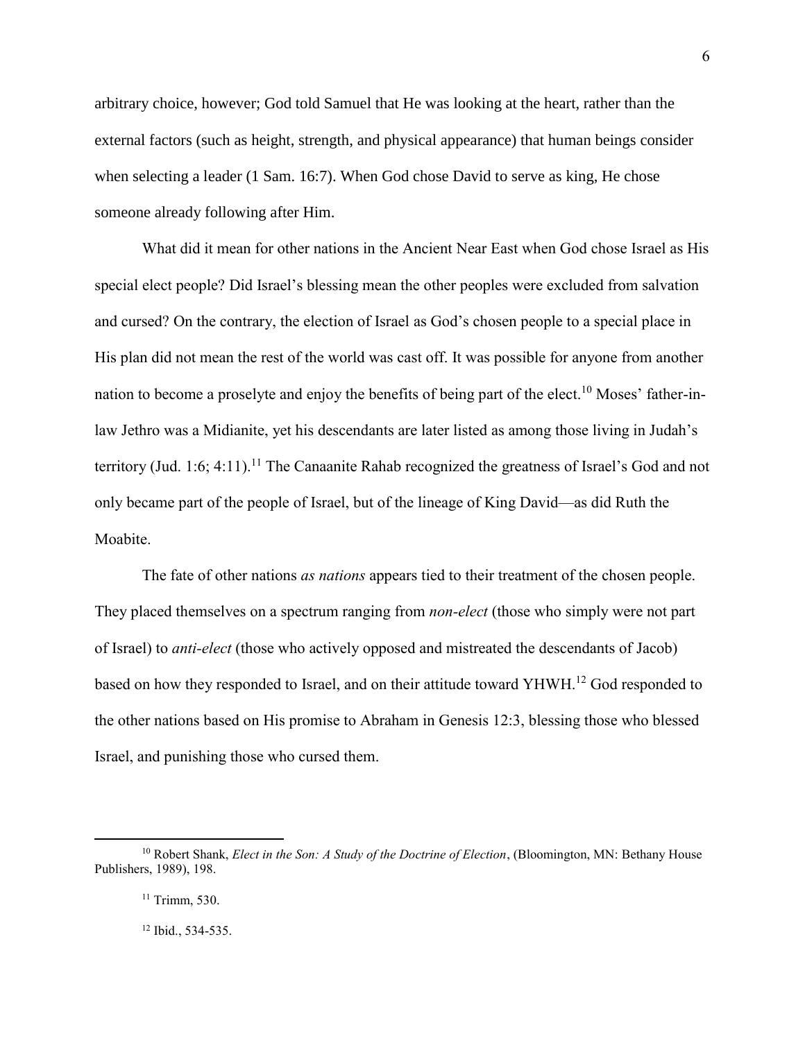arbitrary choice, however; God told Samuel that He was looking at the heart, rather than the external factors (such as height, strength, and physical appearance) that human beings consider when selecting a leader (1 Sam. 16:7). When God chose David to serve as king, He chose someone already following after Him.

What did it mean for other nations in the Ancient Near East when God chose Israel as His special elect people? Did Israel's blessing mean the other peoples were excluded from salvation and cursed? On the contrary, the election of Israel as God's chosen people to a special place in His plan did not mean the rest of the world was cast off. It was possible for anyone from another nation to become a proselyte and enjoy the benefits of being part of the elect.<sup>10</sup> Moses' father-inlaw Jethro was a Midianite, yet his descendants are later listed as among those living in Judah's territory (Jud. 1:6; 4:11).<sup>11</sup> The Canaanite Rahab recognized the greatness of Israel's God and not only became part of the people of Israel, but of the lineage of King David—as did Ruth the Moabite.

The fate of other nations *as nations* appears tied to their treatment of the chosen people. They placed themselves on a spectrum ranging from *non-elect* (those who simply were not part of Israel) to *anti-elect* (those who actively opposed and mistreated the descendants of Jacob) based on how they responded to Israel, and on their attitude toward  $YHWH$ .<sup>12</sup> God responded to the other nations based on His promise to Abraham in Genesis 12:3, blessing those who blessed Israel, and punishing those who cursed them.

<sup>&</sup>lt;sup>10</sup> Robert Shank, *Elect in the Son: A Study of the Doctrine of Election*, (Bloomington, MN: Bethany House Publishers, 1989), 198.

<sup>11</sup> Trimm, 530.

<sup>12</sup> Ibid., 534-535.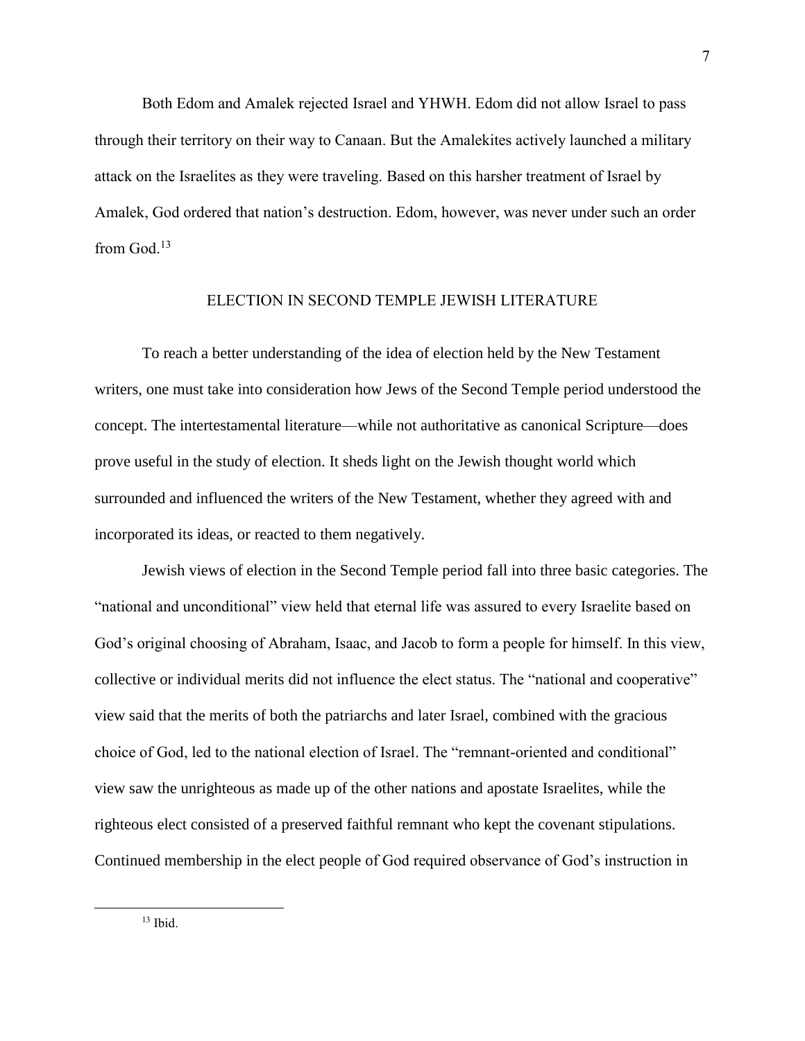Both Edom and Amalek rejected Israel and YHWH. Edom did not allow Israel to pass through their territory on their way to Canaan. But the Amalekites actively launched a military attack on the Israelites as they were traveling. Based on this harsher treatment of Israel by Amalek, God ordered that nation's destruction. Edom, however, was never under such an order from God. $13$ 

## ELECTION IN SECOND TEMPLE JEWISH LITERATURE

To reach a better understanding of the idea of election held by the New Testament writers, one must take into consideration how Jews of the Second Temple period understood the concept. The intertestamental literature—while not authoritative as canonical Scripture—does prove useful in the study of election. It sheds light on the Jewish thought world which surrounded and influenced the writers of the New Testament, whether they agreed with and incorporated its ideas, or reacted to them negatively.

Jewish views of election in the Second Temple period fall into three basic categories. The "national and unconditional" view held that eternal life was assured to every Israelite based on God's original choosing of Abraham, Isaac, and Jacob to form a people for himself. In this view, collective or individual merits did not influence the elect status. The "national and cooperative" view said that the merits of both the patriarchs and later Israel, combined with the gracious choice of God, led to the national election of Israel. The "remnant-oriented and conditional" view saw the unrighteous as made up of the other nations and apostate Israelites, while the righteous elect consisted of a preserved faithful remnant who kept the covenant stipulations. Continued membership in the elect people of God required observance of God's instruction in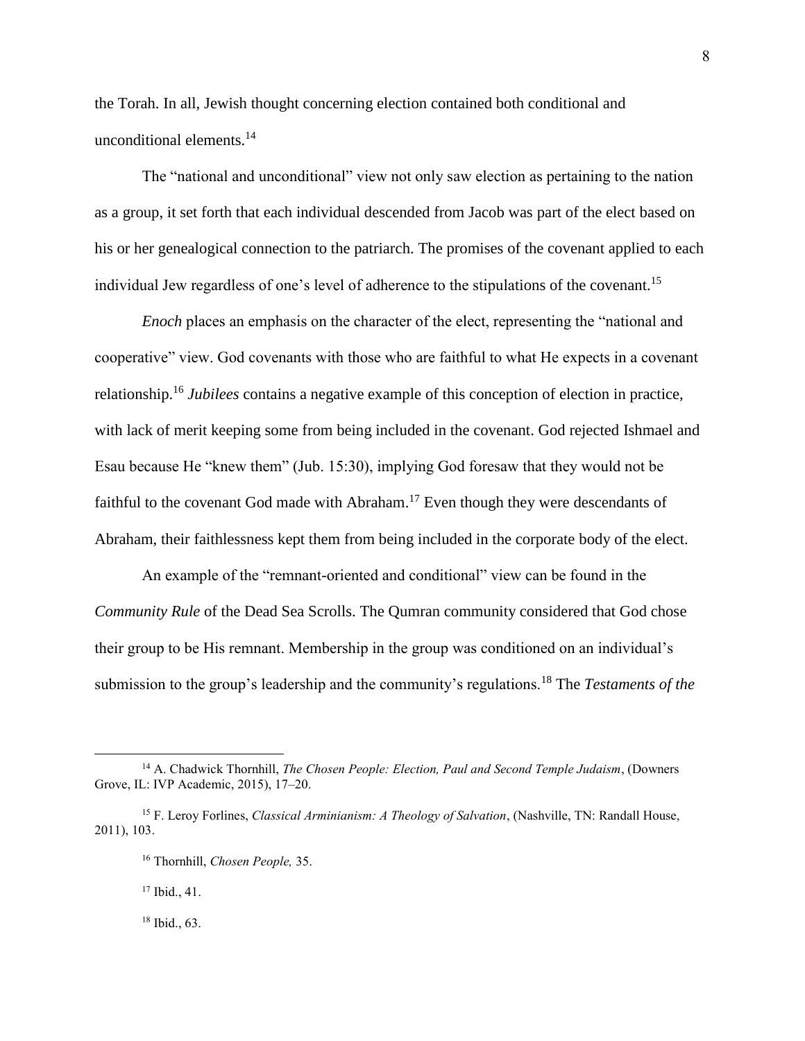the Torah. In all, Jewish thought concerning election contained both conditional and unconditional elements.<sup>14</sup>

The "national and unconditional" view not only saw election as pertaining to the nation as a group, it set forth that each individual descended from Jacob was part of the elect based on his or her genealogical connection to the patriarch. The promises of the covenant applied to each individual Jew regardless of one's level of adherence to the stipulations of the covenant.<sup>15</sup>

*Enoch* places an emphasis on the character of the elect, representing the "national and cooperative" view. God covenants with those who are faithful to what He expects in a covenant relationship.<sup>16</sup> *Jubilees* contains a negative example of this conception of election in practice, with lack of merit keeping some from being included in the covenant. God rejected Ishmael and Esau because He "knew them" (Jub. 15:30), implying God foresaw that they would not be faithful to the covenant God made with Abraham.<sup>17</sup> Even though they were descendants of Abraham, their faithlessness kept them from being included in the corporate body of the elect.

An example of the "remnant-oriented and conditional" view can be found in the *Community Rule* of the Dead Sea Scrolls. The Qumran community considered that God chose their group to be His remnant. Membership in the group was conditioned on an individual's submission to the group's leadership and the community's regulations.<sup>18</sup> The *Testaments of the* 

<sup>17</sup> Ibid., 41.

 $\overline{a}$ 

<sup>18</sup> Ibid., 63.

<sup>14</sup> A. Chadwick Thornhill, *The Chosen People: Election, Paul and Second Temple Judaism*, (Downers Grove, IL: IVP Academic, 2015), 17–20.

<sup>15</sup> F. Leroy Forlines, *Classical Arminianism: A Theology of Salvation*, (Nashville, TN: Randall House, 2011), 103.

<sup>16</sup> Thornhill, *Chosen People,* 35.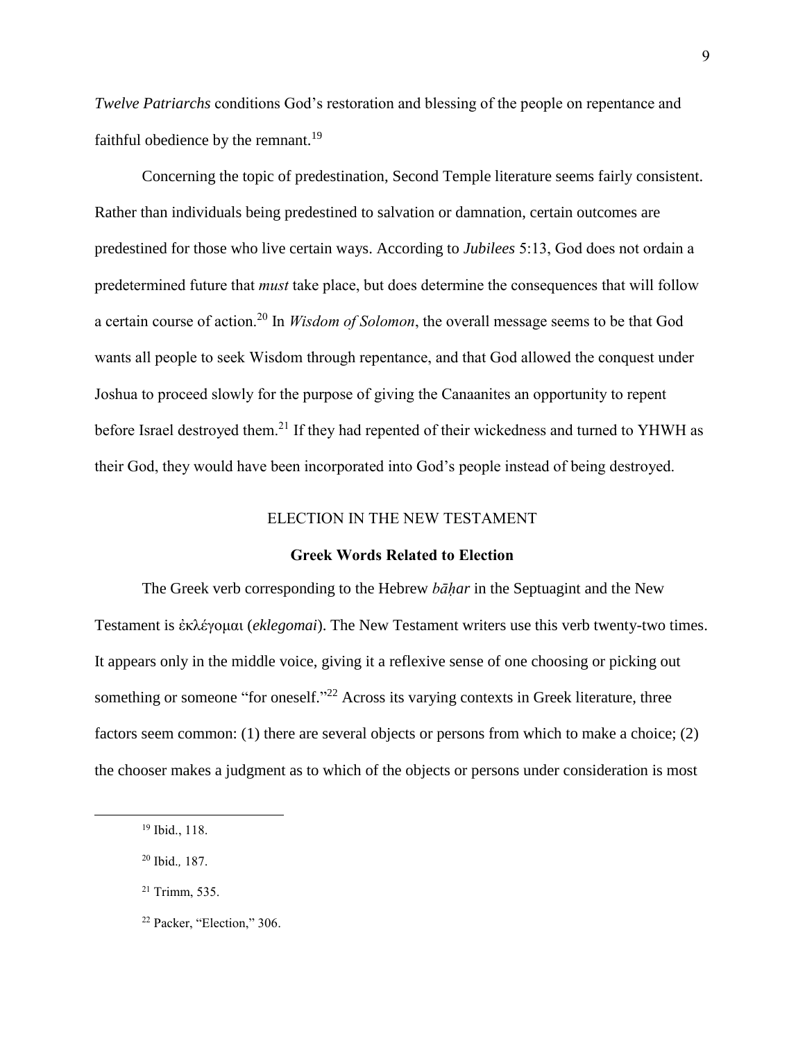*Twelve Patriarchs* conditions God's restoration and blessing of the people on repentance and faithful obedience by the remnant.<sup>19</sup>

Concerning the topic of predestination, Second Temple literature seems fairly consistent. Rather than individuals being predestined to salvation or damnation, certain outcomes are predestined for those who live certain ways. According to *Jubilees* 5:13, God does not ordain a predetermined future that *must* take place, but does determine the consequences that will follow a certain course of action.<sup>20</sup> In *Wisdom of Solomon*, the overall message seems to be that God wants all people to seek Wisdom through repentance, and that God allowed the conquest under Joshua to proceed slowly for the purpose of giving the Canaanites an opportunity to repent before Israel destroyed them.<sup>21</sup> If they had repented of their wickedness and turned to YHWH as their God, they would have been incorporated into God's people instead of being destroyed.

#### ELECTION IN THE NEW TESTAMENT

#### Greek Words Related to Election

The Greek verb corresponding to the Hebrew *bāḥar* in the Septuagint and the New Testament is ἐκλέγομαι (*eklegomai*). The New Testament writers use this verb twenty-two times. It appears only in the middle voice, giving it a reflexive sense of one choosing or picking out something or someone "for oneself."<sup>22</sup> Across its varying contexts in Greek literature, three factors seem common: (1) there are several objects or persons from which to make a choice; (2) the chooser makes a judgment as to which of the objects or persons under consideration is most

<sup>19</sup> Ibid., 118.

<sup>20</sup> Ibid.*,* 187.

<sup>21</sup> Trimm, 535.

<sup>22</sup> Packer, "Election," 306.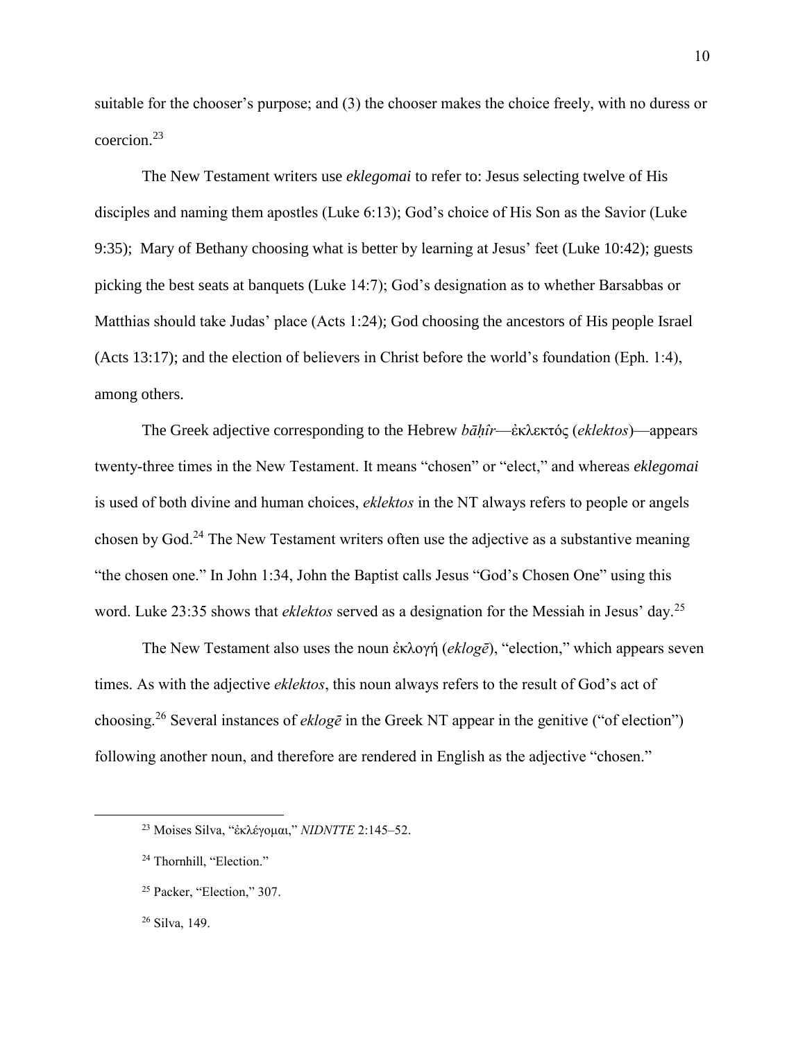suitable for the chooser's purpose; and (3) the chooser makes the choice freely, with no duress or coercion.<sup>23</sup>

The New Testament writers use *eklegomai* to refer to: Jesus selecting twelve of His disciples and naming them apostles (Luke 6:13); God's choice of His Son as the Savior (Luke 9:35); Mary of Bethany choosing what is better by learning at Jesus' feet (Luke 10:42); guests picking the best seats at banquets (Luke 14:7); God's designation as to whether Barsabbas or Matthias should take Judas' place (Acts 1:24); God choosing the ancestors of His people Israel (Acts 13:17); and the election of believers in Christ before the world's foundation (Eph. 1:4), among others.

The Greek adjective corresponding to the Hebrew *bāḥîr*—ἐκλεκτός (*eklektos*)—appears twenty-three times in the New Testament. It means "chosen" or "elect," and whereas *eklegomai* is used of both divine and human choices, *eklektos* in the NT always refers to people or angels chosen by God.<sup>24</sup> The New Testament writers often use the adjective as a substantive meaning "the chosen one." In John 1:34, John the Baptist calls Jesus "God's Chosen One" using this word. Luke 23:35 shows that *eklektos* served as a designation for the Messiah in Jesus' day.<sup>25</sup>

The New Testament also uses the noun ἐκλογή (*eklogē*), "election," which appears seven times. As with the adjective *eklektos*, this noun always refers to the result of God's act of choosing.<sup>26</sup> Several instances of *eklogē* in the Greek NT appear in the genitive ("of election") following another noun, and therefore are rendered in English as the adjective "chosen."

<sup>23</sup> Moises Silva, "ἐκλέγομαι," *NIDNTTE* 2:145–52.

<sup>&</sup>lt;sup>24</sup> Thornhill, "Election."

<sup>25</sup> Packer, "Election," 307.

<sup>26</sup> Silva, 149.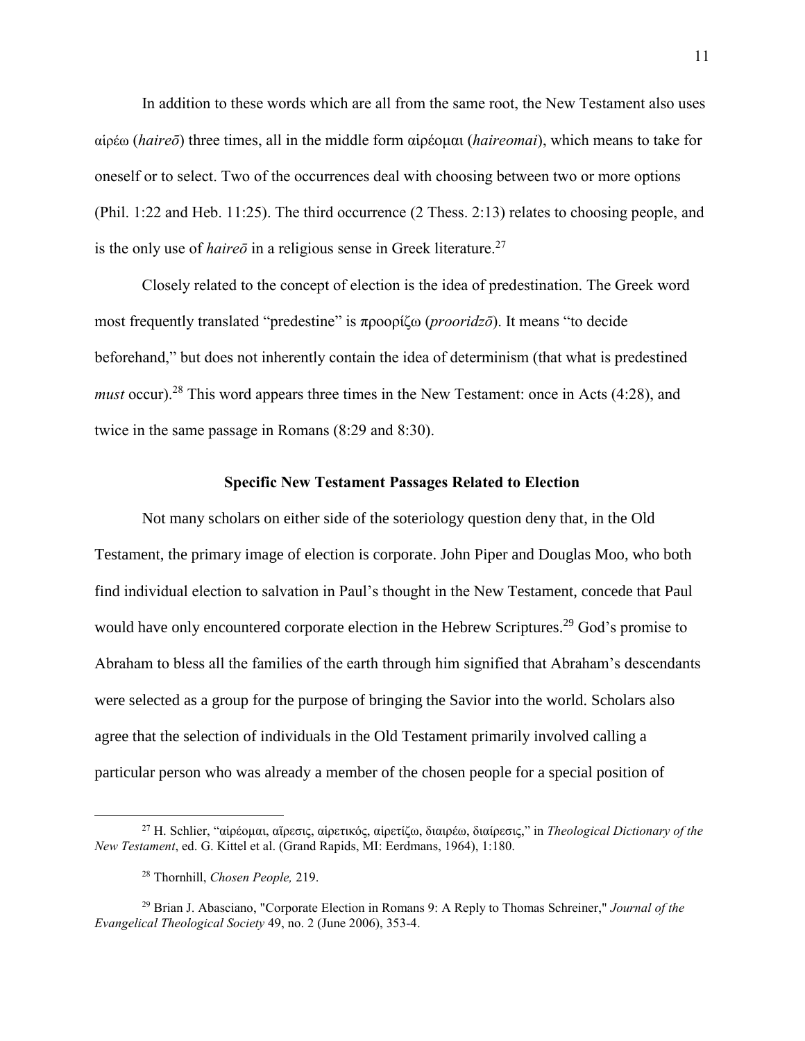In addition to these words which are all from the same root, the New Testament also uses αἱρέω (*haireō*) three times, all in the middle form αἱρέομαι (*haireomai*), which means to take for oneself or to select. Two of the occurrences deal with choosing between two or more options (Phil. 1:22 and Heb. 11:25). The third occurrence (2 Thess. 2:13) relates to choosing people, and is the only use of *haireō* in a religious sense in Greek literature. 27

Closely related to the concept of election is the idea of predestination. The Greek word most frequently translated "predestine" is προορίζω (*prooridzō*). It means "to decide beforehand," but does not inherently contain the idea of determinism (that what is predestined *must* occur).<sup>28</sup> This word appears three times in the New Testament: once in Acts (4:28), and twice in the same passage in Romans (8:29 and 8:30).

#### Specific New Testament Passages Related to Election

Not many scholars on either side of the soteriology question deny that, in the Old Testament, the primary image of election is corporate. John Piper and Douglas Moo, who both find individual election to salvation in Paul's thought in the New Testament, concede that Paul would have only encountered corporate election in the Hebrew Scriptures.<sup>29</sup> God's promise to Abraham to bless all the families of the earth through him signified that Abraham's descendants were selected as a group for the purpose of bringing the Savior into the world. Scholars also agree that the selection of individuals in the Old Testament primarily involved calling a particular person who was already a member of the chosen people for a special position of

<sup>27</sup> H. Schlier, "αἱρέομαι, αἵρεσις, αἱρετικός, αἱρετίζω, διαιρέω, διαίρεσις," in *Theological Dictionary of the New Testament*, ed. G. Kittel et al. (Grand Rapids, MI: Eerdmans, 1964), 1:180.

<sup>28</sup> Thornhill, *Chosen People,* 219.

<sup>29</sup> Brian J. Abasciano, "Corporate Election in Romans 9: A Reply to Thomas Schreiner," *Journal of the Evangelical Theological Society* 49, no. 2 (June 2006), 353-4.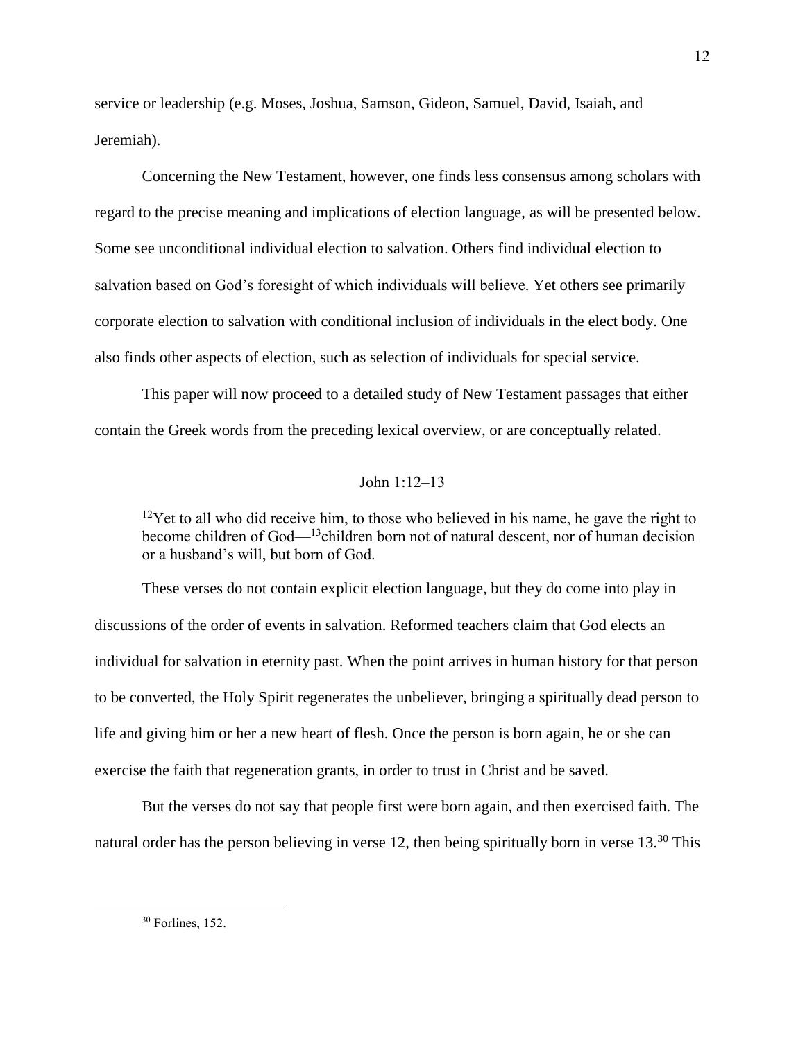service or leadership (e.g. Moses, Joshua, Samson, Gideon, Samuel, David, Isaiah, and Jeremiah).

Concerning the New Testament, however, one finds less consensus among scholars with regard to the precise meaning and implications of election language, as will be presented below. Some see unconditional individual election to salvation. Others find individual election to salvation based on God's foresight of which individuals will believe. Yet others see primarily corporate election to salvation with conditional inclusion of individuals in the elect body. One also finds other aspects of election, such as selection of individuals for special service.

This paper will now proceed to a detailed study of New Testament passages that either contain the Greek words from the preceding lexical overview, or are conceptually related.

#### John 1:12–13

 $12$ Yet to all who did receive him, to those who believed in his name, he gave the right to become children of God— $13$ children born not of natural descent, nor of human decision or a husband's will, but born of God.

These verses do not contain explicit election language, but they do come into play in discussions of the order of events in salvation. Reformed teachers claim that God elects an individual for salvation in eternity past. When the point arrives in human history for that person to be converted, the Holy Spirit regenerates the unbeliever, bringing a spiritually dead person to life and giving him or her a new heart of flesh. Once the person is born again, he or she can exercise the faith that regeneration grants, in order to trust in Christ and be saved.

But the verses do not say that people first were born again, and then exercised faith. The natural order has the person believing in verse 12, then being spiritually born in verse 13.<sup>30</sup> This

<sup>30</sup> Forlines, 152.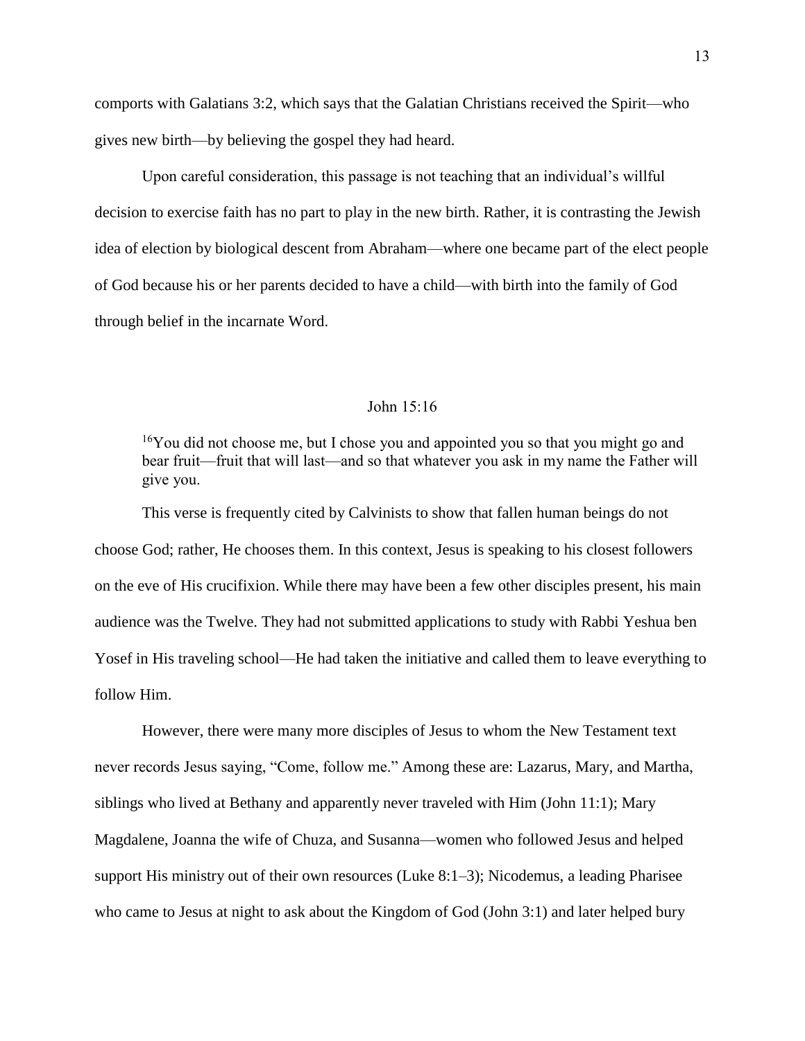comports with Galatians 3:2, which says that the Galatian Christians received the Spirit—who gives new birth—by believing the gospel they had heard.

Upon careful consideration, this passage is not teaching that an individual's willful decision to exercise faith has no part to play in the new birth. Rather, it is contrasting the Jewish idea of election by biological descent from Abraham—where one became part of the elect people of God because his or her parents decided to have a child—with birth into the family of God through belief in the incarnate Word.

#### John 15:16

 $16$ You did not choose me, but I chose you and appointed you so that you might go and bear fruit—fruit that will last—and so that whatever you ask in my name the Father will give you.

This verse is frequently cited by Calvinists to show that fallen human beings do not choose God; rather, He chooses them. In this context, Jesus is speaking to his closest followers on the eve of His crucifixion. While there may have been a few other disciples present, his main audience was the Twelve. They had not submitted applications to study with Rabbi Yeshua ben Yosef in His traveling school—He had taken the initiative and called them to leave everything to follow Him.

However, there were many more disciples of Jesus to whom the New Testament text never records Jesus saying, "Come, follow me." Among these are: Lazarus, Mary, and Martha, siblings who lived at Bethany and apparently never traveled with Him (John 11:1); Mary Magdalene, Joanna the wife of Chuza, and Susanna—women who followed Jesus and helped support His ministry out of their own resources (Luke 8:1–3); Nicodemus, a leading Pharisee who came to Jesus at night to ask about the Kingdom of God (John 3:1) and later helped bury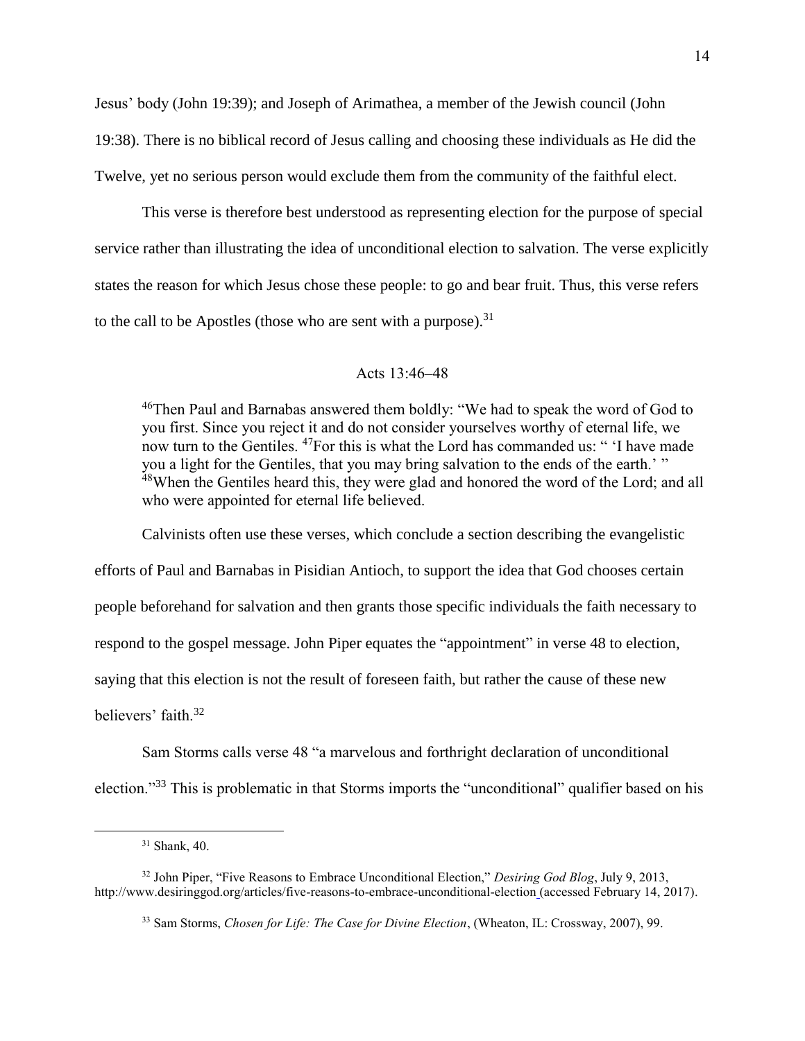Jesus' body (John 19:39); and Joseph of Arimathea, a member of the Jewish council (John 19:38). There is no biblical record of Jesus calling and choosing these individuals as He did the Twelve, yet no serious person would exclude them from the community of the faithful elect.

This verse is therefore best understood as representing election for the purpose of special service rather than illustrating the idea of unconditional election to salvation. The verse explicitly states the reason for which Jesus chose these people: to go and bear fruit. Thus, this verse refers to the call to be Apostles (those who are sent with a purpose). $31$ 

#### Acts 13:46–48

<sup>46</sup>Then Paul and Barnabas answered them boldly: "We had to speak the word of God to you first. Since you reject it and do not consider yourselves worthy of eternal life, we now turn to the Gentiles. <sup>47</sup>For this is what the Lord has commanded us: " 'I have made you a light for the Gentiles, that you may bring salvation to the ends of the earth.' " <sup>48</sup>When the Gentiles heard this, they were glad and honored the word of the Lord; and all who were appointed for eternal life believed.

Calvinists often use these verses, which conclude a section describing the evangelistic efforts of Paul and Barnabas in Pisidian Antioch, to support the idea that God chooses certain people beforehand for salvation and then grants those specific individuals the faith necessary to respond to the gospel message. John Piper equates the "appointment" in verse 48 to election, saying that this election is not the result of foreseen faith, but rather the cause of these new believers' faith.<sup>32</sup>

Sam Storms calls verse 48 "a marvelous and forthright declaration of unconditional election."<sup>33</sup> This is problematic in that Storms imports the "unconditional" qualifier based on his

<sup>31</sup> Shank, 40.

<sup>32</sup> John Piper, "Five Reasons to Embrace Unconditional Election," *Desiring God Blog*, July 9, 2013, http://www.desiringgod.org/articles/five-reasons-to-embrace-unconditional-election (accessed February 14, 2017).

<sup>33</sup> Sam Storms, *Chosen for Life: The Case for Divine Election*, (Wheaton, IL: Crossway, 2007), 99.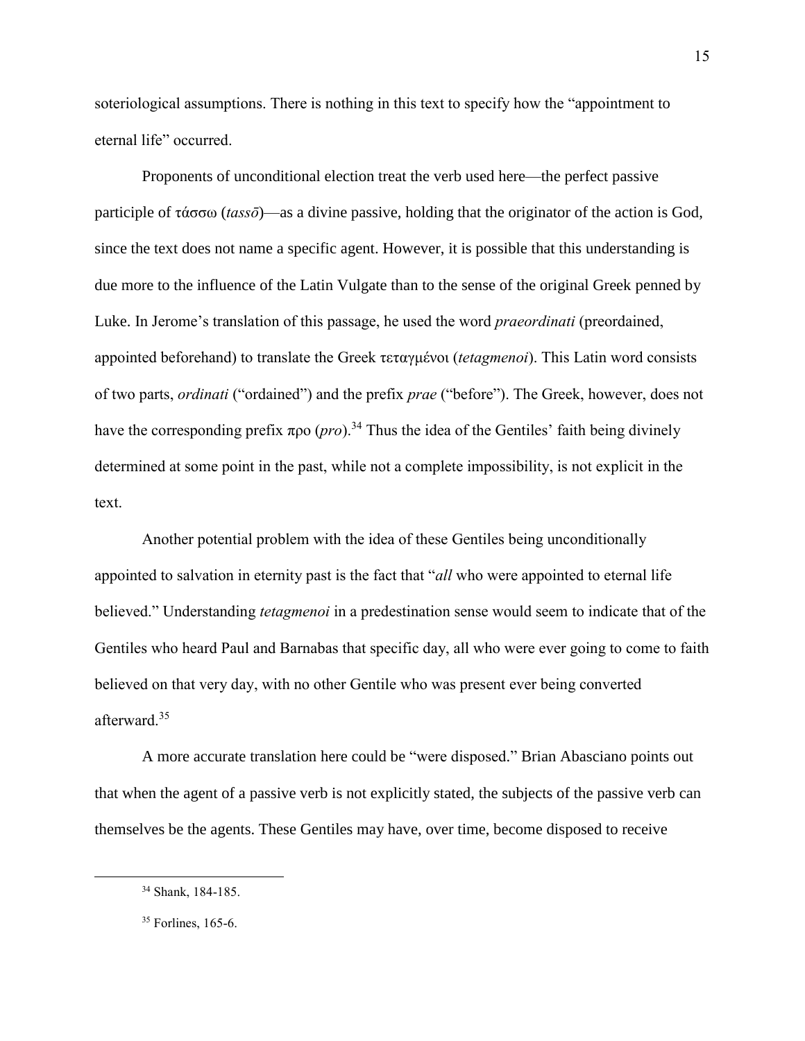soteriological assumptions. There is nothing in this text to specify how the "appointment to eternal life" occurred.

Proponents of unconditional election treat the verb used here—the perfect passive participle of τάσσω (*tassō*)—as a divine passive, holding that the originator of the action is God, since the text does not name a specific agent. However, it is possible that this understanding is due more to the influence of the Latin Vulgate than to the sense of the original Greek penned by Luke. In Jerome's translation of this passage, he used the word *praeordinati* (preordained, appointed beforehand) to translate the Greek τεταγμένοι (*tetagmenoi*). This Latin word consists of two parts, *ordinati* ("ordained") and the prefix *prae* ("before"). The Greek, however, does not have the corresponding prefix  $προ (pro).$ <sup>34</sup> Thus the idea of the Gentiles' faith being divinely determined at some point in the past, while not a complete impossibility, is not explicit in the text.

Another potential problem with the idea of these Gentiles being unconditionally appointed to salvation in eternity past is the fact that "*all* who were appointed to eternal life believed." Understanding *tetagmenoi* in a predestination sense would seem to indicate that of the Gentiles who heard Paul and Barnabas that specific day, all who were ever going to come to faith believed on that very day, with no other Gentile who was present ever being converted afterward. 35

A more accurate translation here could be "were disposed." Brian Abasciano points out that when the agent of a passive verb is not explicitly stated, the subjects of the passive verb can themselves be the agents. These Gentiles may have, over time, become disposed to receive

<sup>34</sup> Shank, 184-185.

<sup>&</sup>lt;sup>35</sup> Forlines, 165-6.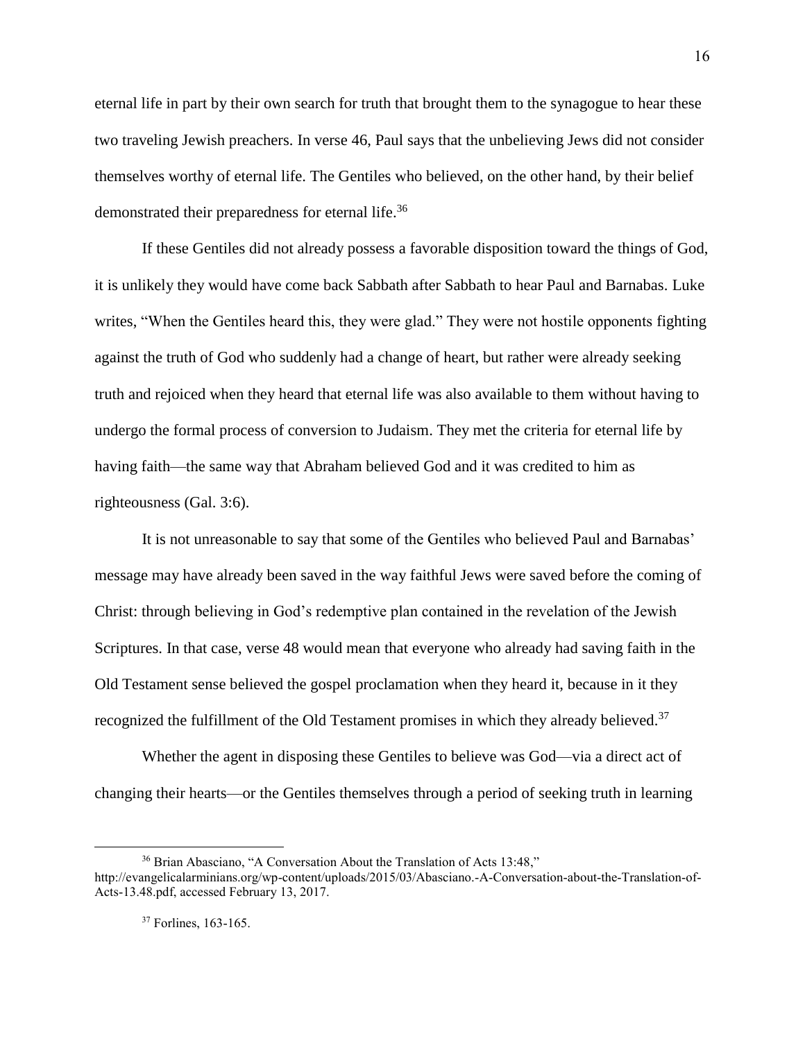eternal life in part by their own search for truth that brought them to the synagogue to hear these two traveling Jewish preachers. In verse 46, Paul says that the unbelieving Jews did not consider themselves worthy of eternal life. The Gentiles who believed, on the other hand, by their belief demonstrated their preparedness for eternal life.<sup>36</sup>

If these Gentiles did not already possess a favorable disposition toward the things of God, it is unlikely they would have come back Sabbath after Sabbath to hear Paul and Barnabas. Luke writes, "When the Gentiles heard this, they were glad." They were not hostile opponents fighting against the truth of God who suddenly had a change of heart, but rather were already seeking truth and rejoiced when they heard that eternal life was also available to them without having to undergo the formal process of conversion to Judaism. They met the criteria for eternal life by having faith—the same way that Abraham believed God and it was credited to him as righteousness (Gal. 3:6).

It is not unreasonable to say that some of the Gentiles who believed Paul and Barnabas' message may have already been saved in the way faithful Jews were saved before the coming of Christ: through believing in God's redemptive plan contained in the revelation of the Jewish Scriptures. In that case, verse 48 would mean that everyone who already had saving faith in the Old Testament sense believed the gospel proclamation when they heard it, because in it they recognized the fulfillment of the Old Testament promises in which they already believed.<sup>37</sup>

Whether the agent in disposing these Gentiles to believe was God—via a direct act of changing their hearts—or the Gentiles themselves through a period of seeking truth in learning

<sup>&</sup>lt;sup>36</sup> Brian Abasciano, "A Conversation About the Translation of Acts 13:48," http://evangelicalarminians.org/wp-content/uploads/2015/03/Abasciano.-A-Conversation-about-the-Translation-of-Acts-13.48.pdf, accessed February 13, 2017.

<sup>&</sup>lt;sup>37</sup> Forlines, 163-165.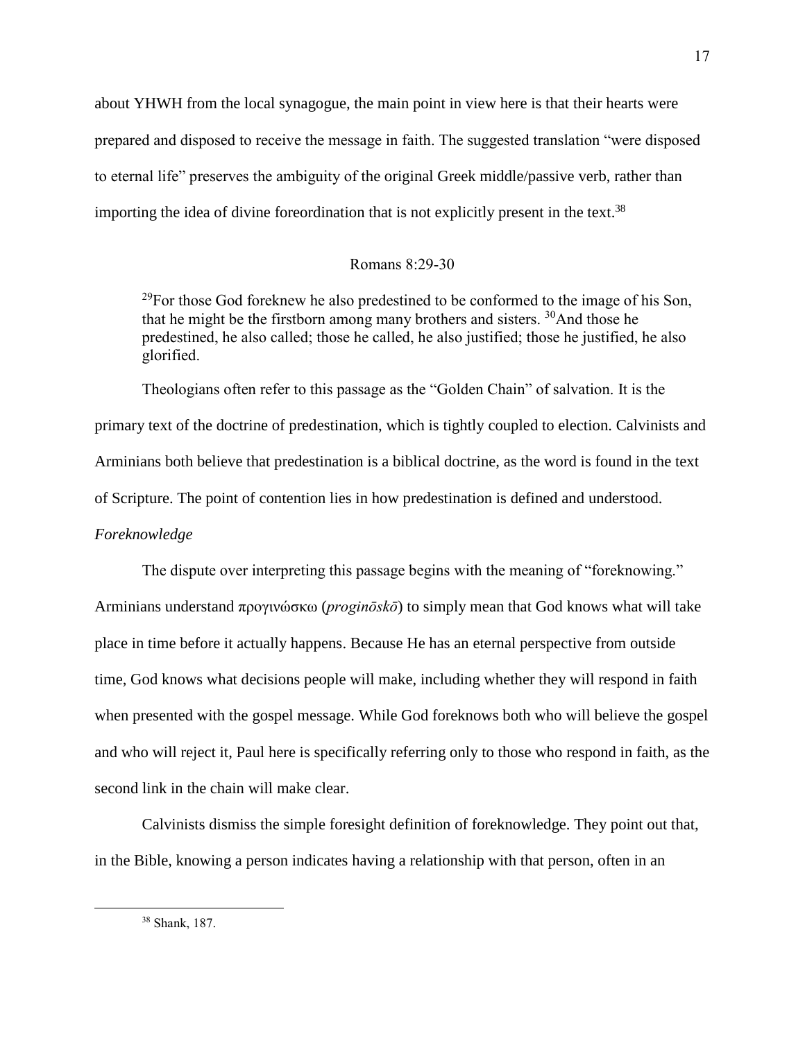about YHWH from the local synagogue, the main point in view here is that their hearts were prepared and disposed to receive the message in faith. The suggested translation "were disposed to eternal life" preserves the ambiguity of the original Greek middle/passive verb, rather than importing the idea of divine foreordination that is not explicitly present in the text.<sup>38</sup>

## Romans 8:29-30

 $^{29}$ For those God foreknew he also predestined to be conformed to the image of his Son, that he might be the firstborn among many brothers and sisters.  $30$ And those he predestined, he also called; those he called, he also justified; those he justified, he also glorified.

Theologians often refer to this passage as the "Golden Chain" of salvation. It is the primary text of the doctrine of predestination, which is tightly coupled to election. Calvinists and Arminians both believe that predestination is a biblical doctrine, as the word is found in the text of Scripture. The point of contention lies in how predestination is defined and understood. *Foreknowledge*

The dispute over interpreting this passage begins with the meaning of "foreknowing." Arminians understand προγινώσκω (*proginōskō*) to simply mean that God knows what will take place in time before it actually happens. Because He has an eternal perspective from outside time, God knows what decisions people will make, including whether they will respond in faith when presented with the gospel message. While God foreknows both who will believe the gospel and who will reject it, Paul here is specifically referring only to those who respond in faith, as the second link in the chain will make clear.

Calvinists dismiss the simple foresight definition of foreknowledge. They point out that, in the Bible, knowing a person indicates having a relationship with that person, often in an

<sup>38</sup> Shank, 187.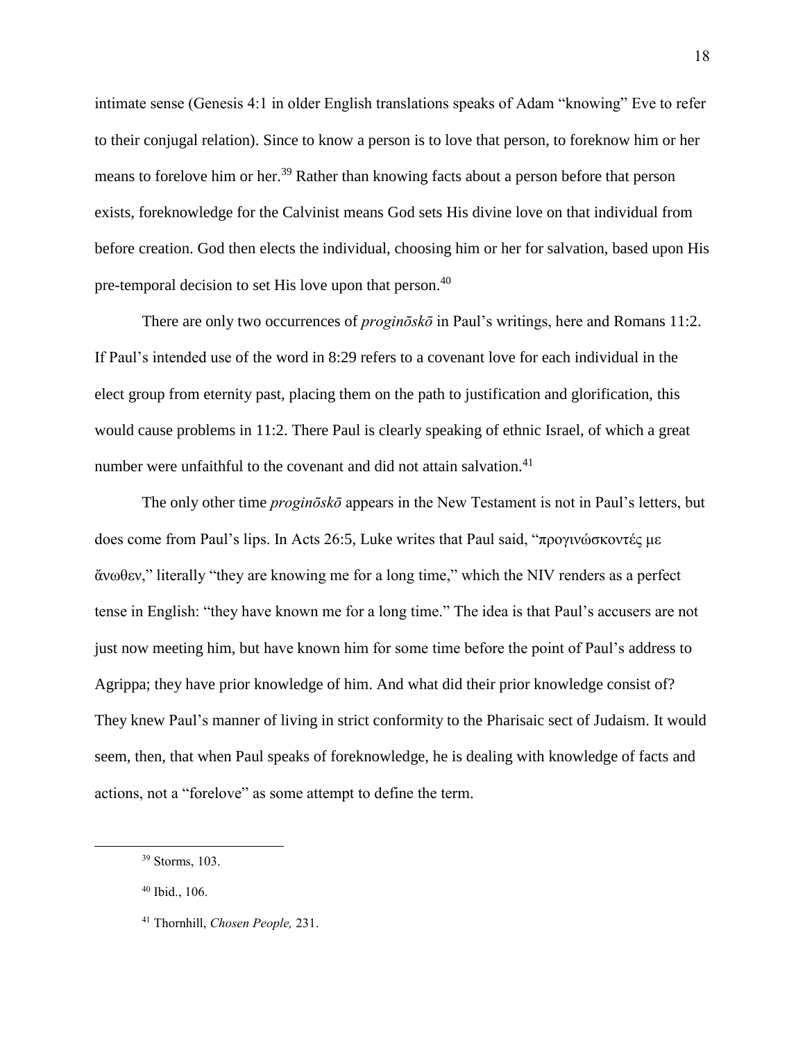intimate sense (Genesis 4:1 in older English translations speaks of Adam "knowing" Eve to refer to their conjugal relation). Since to know a person is to love that person, to foreknow him or her means to forelove him or her.<sup>39</sup> Rather than knowing facts about a person before that person exists, foreknowledge for the Calvinist means God sets His divine love on that individual from before creation. God then elects the individual, choosing him or her for salvation, based upon His pre-temporal decision to set His love upon that person.<sup>40</sup>

There are only two occurrences of *proginōskō* in Paul's writings, here and Romans 11:2. If Paul's intended use of the word in 8:29 refers to a covenant love for each individual in the elect group from eternity past, placing them on the path to justification and glorification, this would cause problems in 11:2. There Paul is clearly speaking of ethnic Israel, of which a great number were unfaithful to the covenant and did not attain salvation.<sup>41</sup>

The only other time *proginōskō* appears in the New Testament is not in Paul's letters, but does come from Paul's lips. In Acts 26:5, Luke writes that Paul said, "προγινώσκοντές με ἄνωθεν," literally "they are knowing me for a long time," which the NIV renders as a perfect tense in English: "they have known me for a long time." The idea is that Paul's accusers are not just now meeting him, but have known him for some time before the point of Paul's address to Agrippa; they have prior knowledge of him. And what did their prior knowledge consist of? They knew Paul's manner of living in strict conformity to the Pharisaic sect of Judaism. It would seem, then, that when Paul speaks of foreknowledge, he is dealing with knowledge of facts and actions, not a "forelove" as some attempt to define the term.

<sup>39</sup> Storms, 103.

<sup>40</sup> Ibid., 106.

<sup>41</sup> Thornhill, *Chosen People,* 231.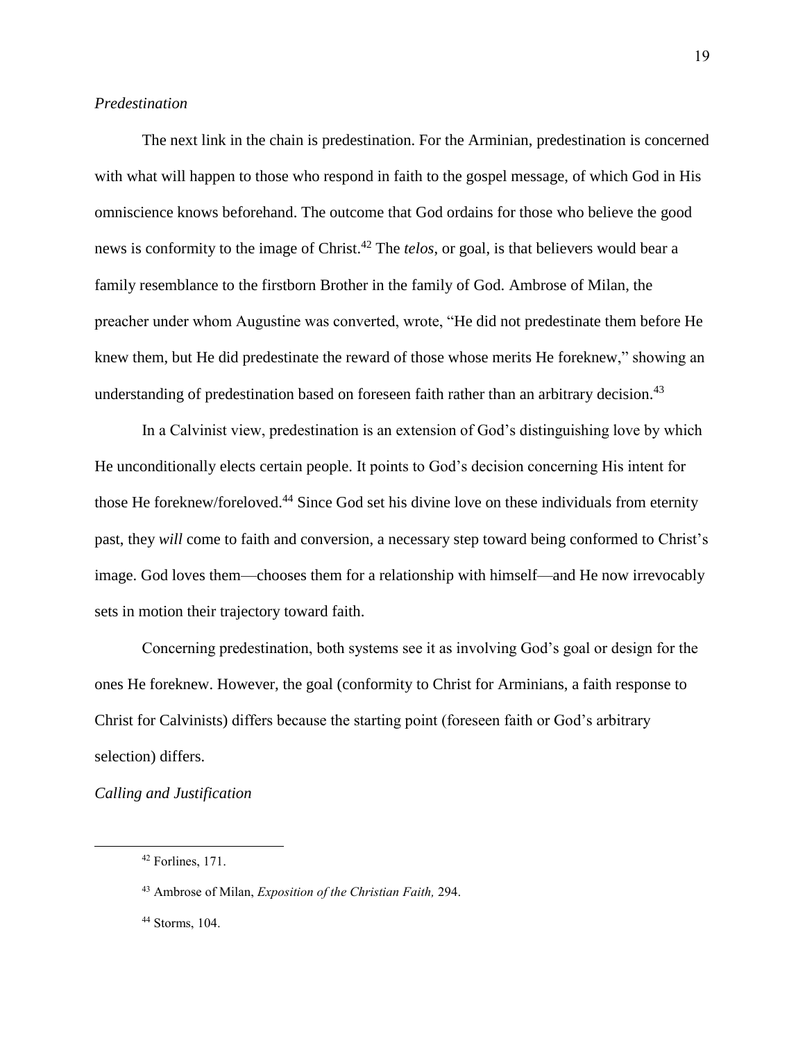## *Predestination*

The next link in the chain is predestination. For the Arminian, predestination is concerned with what will happen to those who respond in faith to the gospel message, of which God in His omniscience knows beforehand. The outcome that God ordains for those who believe the good news is conformity to the image of Christ. <sup>42</sup> The *telos*, or goal, is that believers would bear a family resemblance to the firstborn Brother in the family of God. Ambrose of Milan, the preacher under whom Augustine was converted, wrote, "He did not predestinate them before He knew them, but He did predestinate the reward of those whose merits He foreknew," showing an understanding of predestination based on foreseen faith rather than an arbitrary decision.<sup>43</sup>

In a Calvinist view, predestination is an extension of God's distinguishing love by which He unconditionally elects certain people. It points to God's decision concerning His intent for those He foreknew/foreloved.<sup>44</sup> Since God set his divine love on these individuals from eternity past, they *will* come to faith and conversion, a necessary step toward being conformed to Christ's image. God loves them—chooses them for a relationship with himself—and He now irrevocably sets in motion their trajectory toward faith.

Concerning predestination, both systems see it as involving God's goal or design for the ones He foreknew. However, the goal (conformity to Christ for Arminians, a faith response to Christ for Calvinists) differs because the starting point (foreseen faith or God's arbitrary selection) differs.

*Calling and Justification*

<sup>42</sup> Forlines, 171.

<sup>43</sup> Ambrose of Milan, *Exposition of the Christian Faith,* 294.

<sup>44</sup> Storms, 104.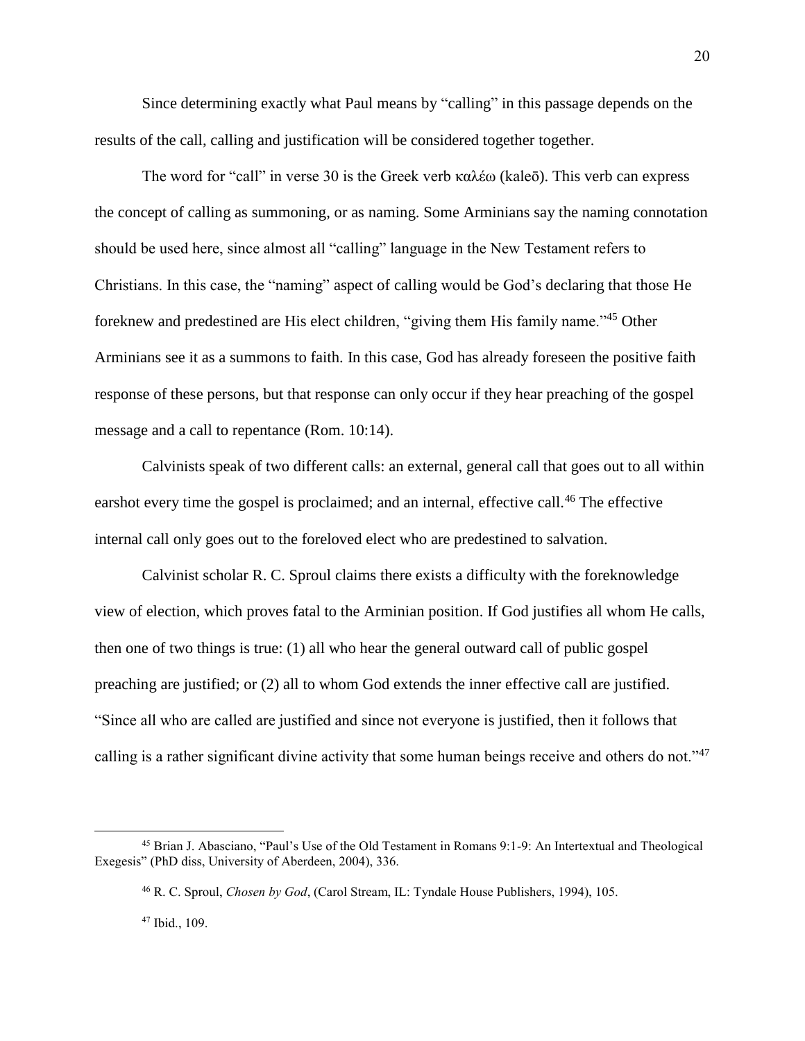Since determining exactly what Paul means by "calling" in this passage depends on the results of the call, calling and justification will be considered together together.

The word for "call" in verse 30 is the Greek verb καλέω (kaleō). This verb can express the concept of calling as summoning, or as naming. Some Arminians say the naming connotation should be used here, since almost all "calling" language in the New Testament refers to Christians. In this case, the "naming" aspect of calling would be God's declaring that those He foreknew and predestined are His elect children, "giving them His family name."<sup>45</sup> Other Arminians see it as a summons to faith. In this case, God has already foreseen the positive faith response of these persons, but that response can only occur if they hear preaching of the gospel message and a call to repentance (Rom. 10:14).

Calvinists speak of two different calls: an external, general call that goes out to all within earshot every time the gospel is proclaimed; and an internal, effective call.<sup>46</sup> The effective internal call only goes out to the foreloved elect who are predestined to salvation.

Calvinist scholar R. C. Sproul claims there exists a difficulty with the foreknowledge view of election, which proves fatal to the Arminian position. If God justifies all whom He calls, then one of two things is true: (1) all who hear the general outward call of public gospel preaching are justified; or (2) all to whom God extends the inner effective call are justified. "Since all who are called are justified and since not everyone is justified, then it follows that calling is a rather significant divine activity that some human beings receive and others do not."<sup>47</sup>

<sup>45</sup> Brian J. Abasciano, "Paul's Use of the Old Testament in Romans 9:1-9: An Intertextual and Theological Exegesis" (PhD diss, University of Aberdeen, 2004), 336.

<sup>46</sup> R. C. Sproul, *Chosen by God*, (Carol Stream, IL: Tyndale House Publishers, 1994), 105.

<sup>47</sup> Ibid., 109.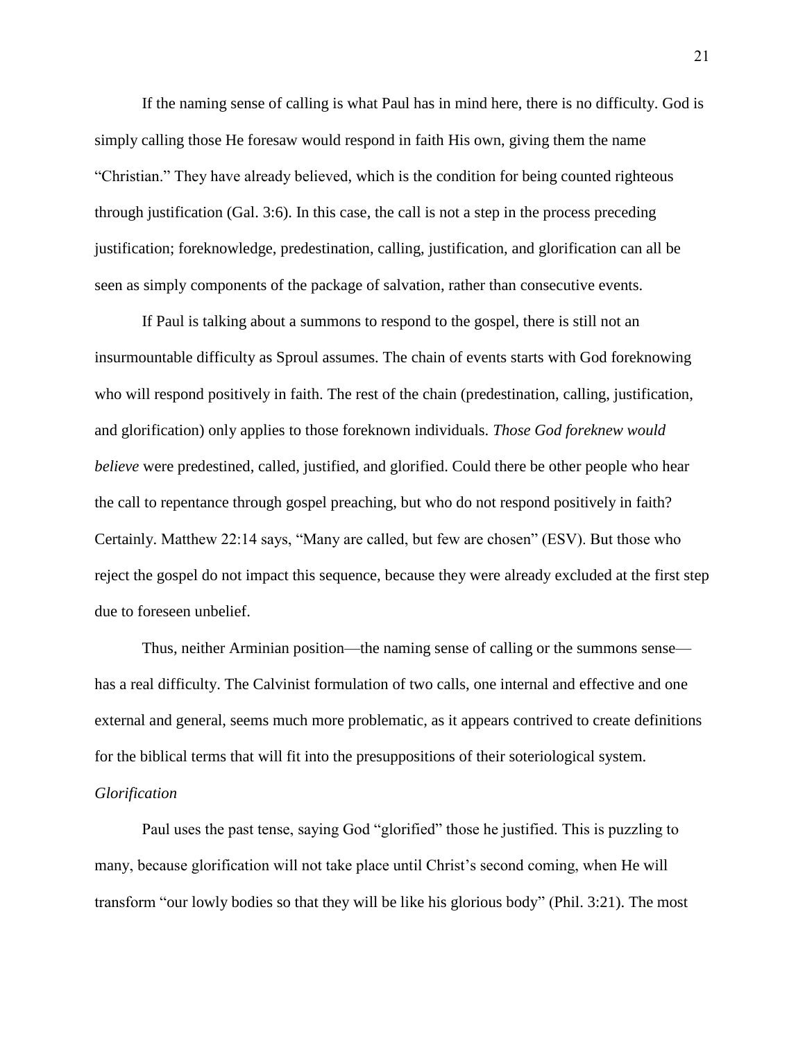If the naming sense of calling is what Paul has in mind here, there is no difficulty. God is simply calling those He foresaw would respond in faith His own, giving them the name "Christian." They have already believed, which is the condition for being counted righteous through justification (Gal. 3:6). In this case, the call is not a step in the process preceding justification; foreknowledge, predestination, calling, justification, and glorification can all be seen as simply components of the package of salvation, rather than consecutive events.

If Paul is talking about a summons to respond to the gospel, there is still not an insurmountable difficulty as Sproul assumes. The chain of events starts with God foreknowing who will respond positively in faith. The rest of the chain (predestination, calling, justification, and glorification) only applies to those foreknown individuals. *Those God foreknew would believe* were predestined, called, justified, and glorified. Could there be other people who hear the call to repentance through gospel preaching, but who do not respond positively in faith? Certainly. Matthew 22:14 says, "Many are called, but few are chosen" (ESV). But those who reject the gospel do not impact this sequence, because they were already excluded at the first step due to foreseen unbelief.

Thus, neither Arminian position—the naming sense of calling or the summons sense has a real difficulty. The Calvinist formulation of two calls, one internal and effective and one external and general, seems much more problematic, as it appears contrived to create definitions for the biblical terms that will fit into the presuppositions of their soteriological system. *Glorification*

Paul uses the past tense, saying God "glorified" those he justified. This is puzzling to many, because glorification will not take place until Christ's second coming, when He will transform "our lowly bodies so that they will be like his glorious body" (Phil. 3:21). The most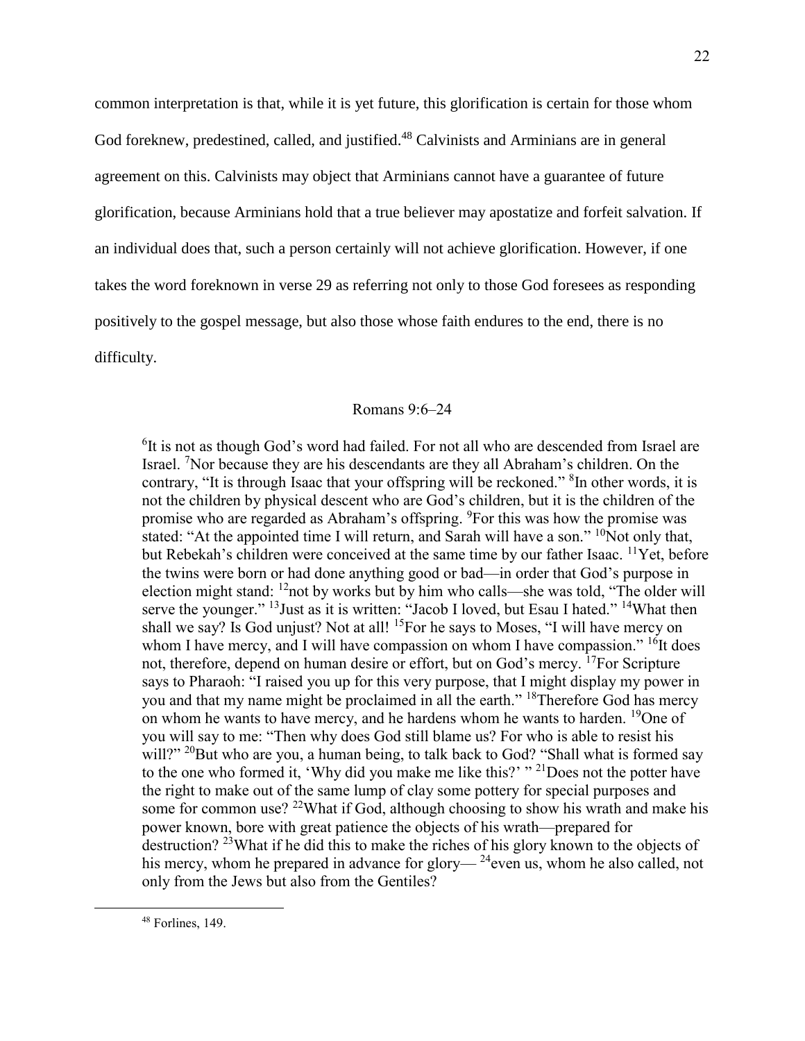common interpretation is that, while it is yet future, this glorification is certain for those whom God foreknew, predestined, called, and justified.<sup>48</sup> Calvinists and Arminians are in general agreement on this. Calvinists may object that Arminians cannot have a guarantee of future glorification, because Arminians hold that a true believer may apostatize and forfeit salvation. If an individual does that, such a person certainly will not achieve glorification. However, if one takes the word foreknown in verse 29 as referring not only to those God foresees as responding positively to the gospel message, but also those whose faith endures to the end, there is no difficulty.

### Romans 9:6–24

<sup>6</sup>It is not as though God's word had failed. For not all who are descended from Israel are Israel. <sup>7</sup>Nor because they are his descendants are they all Abraham's children. On the contrary, "It is through Isaac that your offspring will be reckoned." <sup>8</sup>In other words, it is not the children by physical descent who are God's children, but it is the children of the promise who are regarded as Abraham's offspring. <sup>9</sup>For this was how the promise was stated: "At the appointed time I will return, and Sarah will have a son." <sup>10</sup>Not only that, but Rebekah's children were conceived at the same time by our father Isaac. <sup>11</sup>Yet, before the twins were born or had done anything good or bad—in order that God's purpose in election might stand: <sup>12</sup>not by works but by him who calls—she was told, "The older will serve the younger." <sup>13</sup> Just as it is written: "Jacob I loved, but Esau I hated." <sup>14</sup>What then shall we say? Is God unjust? Not at all! <sup>15</sup>For he says to Moses, "I will have mercy on whom I have mercy, and I will have compassion on whom I have compassion." <sup>16</sup>It does not, therefore, depend on human desire or effort, but on God's mercy. <sup>17</sup>For Scripture says to Pharaoh: "I raised you up for this very purpose, that I might display my power in you and that my name might be proclaimed in all the earth." <sup>18</sup>Therefore God has mercy on whom he wants to have mercy, and he hardens whom he wants to harden. <sup>19</sup>One of you will say to me: "Then why does God still blame us? For who is able to resist his will?" <sup>20</sup>But who are you, a human being, to talk back to God? "Shall what is formed say to the one who formed it, 'Why did you make me like this?'  $\cdot$ "<sup>21</sup>Does not the potter have the right to make out of the same lump of clay some pottery for special purposes and some for common use? <sup>22</sup>What if God, although choosing to show his wrath and make his power known, bore with great patience the objects of his wrath—prepared for destruction? <sup>23</sup>What if he did this to make the riches of his glory known to the objects of his mercy, whom he prepared in advance for glory— $^{24}$ even us, whom he also called, not only from the Jews but also from the Gentiles?

<sup>48</sup> Forlines, 149.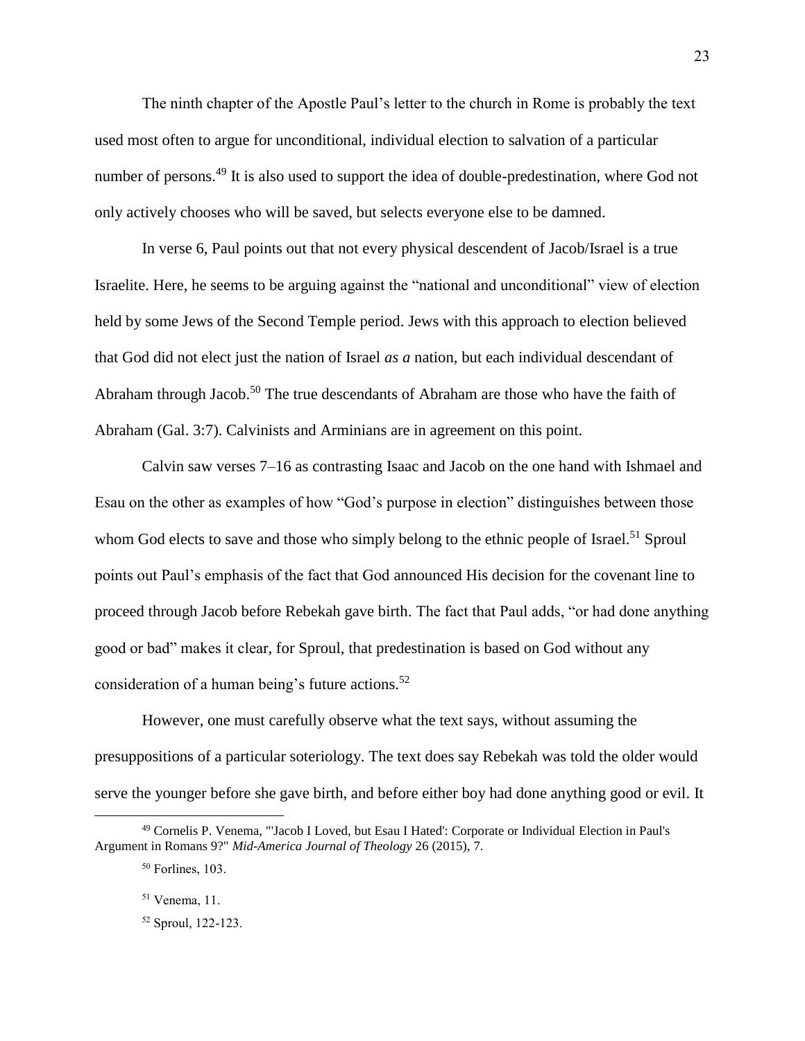The ninth chapter of the Apostle Paul's letter to the church in Rome is probably the text used most often to argue for unconditional, individual election to salvation of a particular number of persons.<sup>49</sup> It is also used to support the idea of double-predestination, where God not only actively chooses who will be saved, but selects everyone else to be damned.

In verse 6, Paul points out that not every physical descendent of Jacob/Israel is a true Israelite. Here, he seems to be arguing against the "national and unconditional" view of election held by some Jews of the Second Temple period. Jews with this approach to election believed that God did not elect just the nation of Israel *as a* nation, but each individual descendant of Abraham through Jacob.<sup>50</sup> The true descendants of Abraham are those who have the faith of Abraham (Gal. 3:7). Calvinists and Arminians are in agreement on this point.

Calvin saw verses 7–16 as contrasting Isaac and Jacob on the one hand with Ishmael and Esau on the other as examples of how "God's purpose in election" distinguishes between those whom God elects to save and those who simply belong to the ethnic people of Israel.<sup>51</sup> Sproul points out Paul's emphasis of the fact that God announced His decision for the covenant line to proceed through Jacob before Rebekah gave birth. The fact that Paul adds, "or had done anything good or bad" makes it clear, for Sproul, that predestination is based on God without any consideration of a human being's future actions. 52

However, one must carefully observe what the text says, without assuming the presuppositions of a particular soteriology. The text does say Rebekah was told the older would serve the younger before she gave birth, and before either boy had done anything good or evil. It

<sup>49</sup> Cornelis P. Venema, "'Jacob I Loved, but Esau I Hated': Corporate or Individual Election in Paul's Argument in Romans 9?" *Mid-America Journal of Theology* 26 (2015), 7.

<sup>50</sup> Forlines, 103.

<sup>51</sup> Venema, 11.

<sup>52</sup> Sproul, 122-123.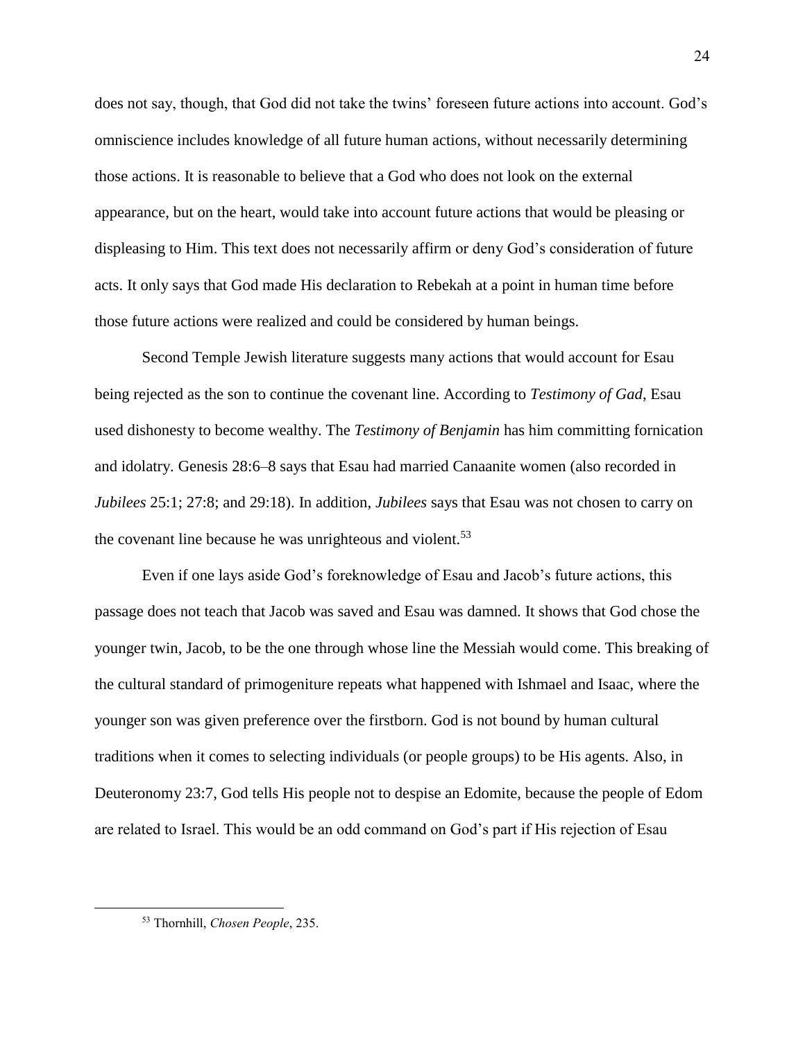does not say, though, that God did not take the twins' foreseen future actions into account. God's omniscience includes knowledge of all future human actions, without necessarily determining those actions. It is reasonable to believe that a God who does not look on the external appearance, but on the heart, would take into account future actions that would be pleasing or displeasing to Him. This text does not necessarily affirm or deny God's consideration of future acts. It only says that God made His declaration to Rebekah at a point in human time before those future actions were realized and could be considered by human beings.

Second Temple Jewish literature suggests many actions that would account for Esau being rejected as the son to continue the covenant line. According to *Testimony of Gad*, Esau used dishonesty to become wealthy. The *Testimony of Benjamin* has him committing fornication and idolatry. Genesis 28:6–8 says that Esau had married Canaanite women (also recorded in *Jubilees* 25:1; 27:8; and 29:18). In addition, *Jubilees* says that Esau was not chosen to carry on the covenant line because he was unrighteous and violent.<sup>53</sup>

Even if one lays aside God's foreknowledge of Esau and Jacob's future actions, this passage does not teach that Jacob was saved and Esau was damned. It shows that God chose the younger twin, Jacob, to be the one through whose line the Messiah would come. This breaking of the cultural standard of primogeniture repeats what happened with Ishmael and Isaac, where the younger son was given preference over the firstborn. God is not bound by human cultural traditions when it comes to selecting individuals (or people groups) to be His agents. Also, in Deuteronomy 23:7, God tells His people not to despise an Edomite, because the people of Edom are related to Israel. This would be an odd command on God's part if His rejection of Esau

<sup>53</sup> Thornhill, *Chosen People*, 235.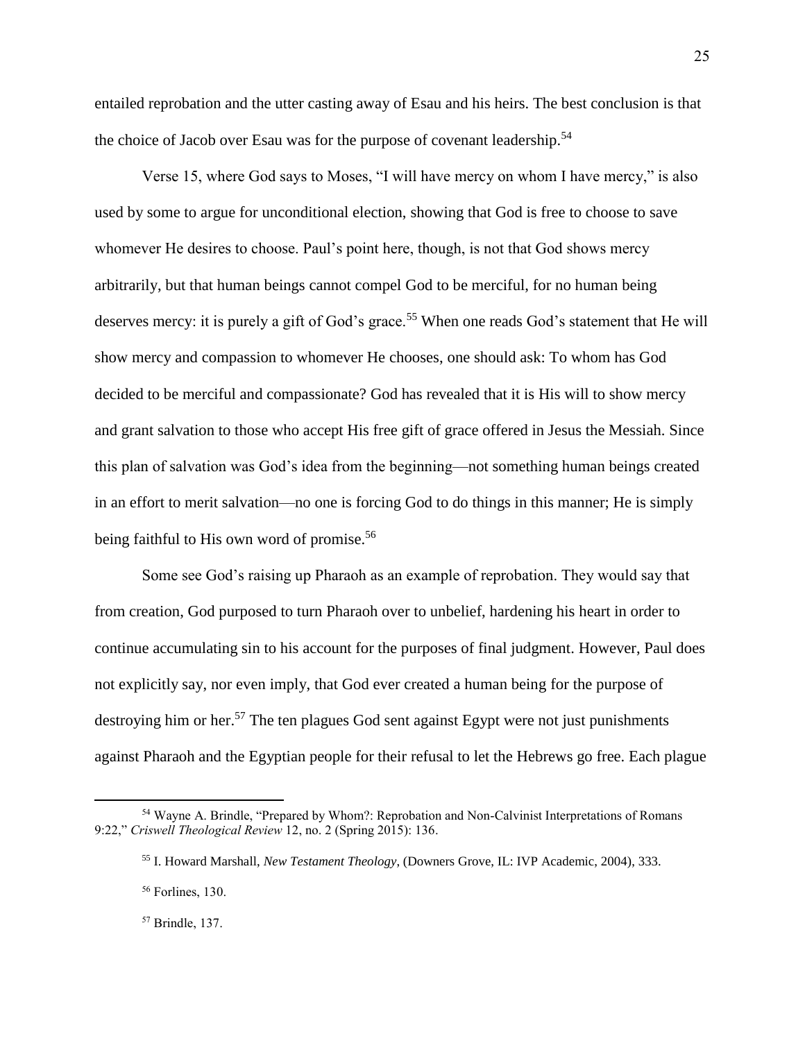entailed reprobation and the utter casting away of Esau and his heirs. The best conclusion is that the choice of Jacob over Esau was for the purpose of covenant leadership.<sup>54</sup>

Verse 15, where God says to Moses, "I will have mercy on whom I have mercy," is also used by some to argue for unconditional election, showing that God is free to choose to save whomever He desires to choose. Paul's point here, though, is not that God shows mercy arbitrarily, but that human beings cannot compel God to be merciful, for no human being deserves mercy: it is purely a gift of God's grace.<sup>55</sup> When one reads God's statement that He will show mercy and compassion to whomever He chooses, one should ask: To whom has God decided to be merciful and compassionate? God has revealed that it is His will to show mercy and grant salvation to those who accept His free gift of grace offered in Jesus the Messiah. Since this plan of salvation was God's idea from the beginning—not something human beings created in an effort to merit salvation—no one is forcing God to do things in this manner; He is simply being faithful to His own word of promise.<sup>56</sup>

Some see God's raising up Pharaoh as an example of reprobation. They would say that from creation, God purposed to turn Pharaoh over to unbelief, hardening his heart in order to continue accumulating sin to his account for the purposes of final judgment. However, Paul does not explicitly say, nor even imply, that God ever created a human being for the purpose of destroying him or her.<sup>57</sup> The ten plagues God sent against Egypt were not just punishments against Pharaoh and the Egyptian people for their refusal to let the Hebrews go free. Each plague

<sup>54</sup> Wayne A. Brindle, "Prepared by Whom?: Reprobation and Non-Calvinist Interpretations of Romans 9:22," *Criswell Theological Review* 12, no. 2 (Spring 2015): 136.

<sup>55</sup> I. Howard Marshall, *New Testament Theology*, (Downers Grove, IL: IVP Academic, 2004), 333.

<sup>56</sup> Forlines, 130.

<sup>57</sup> Brindle, 137.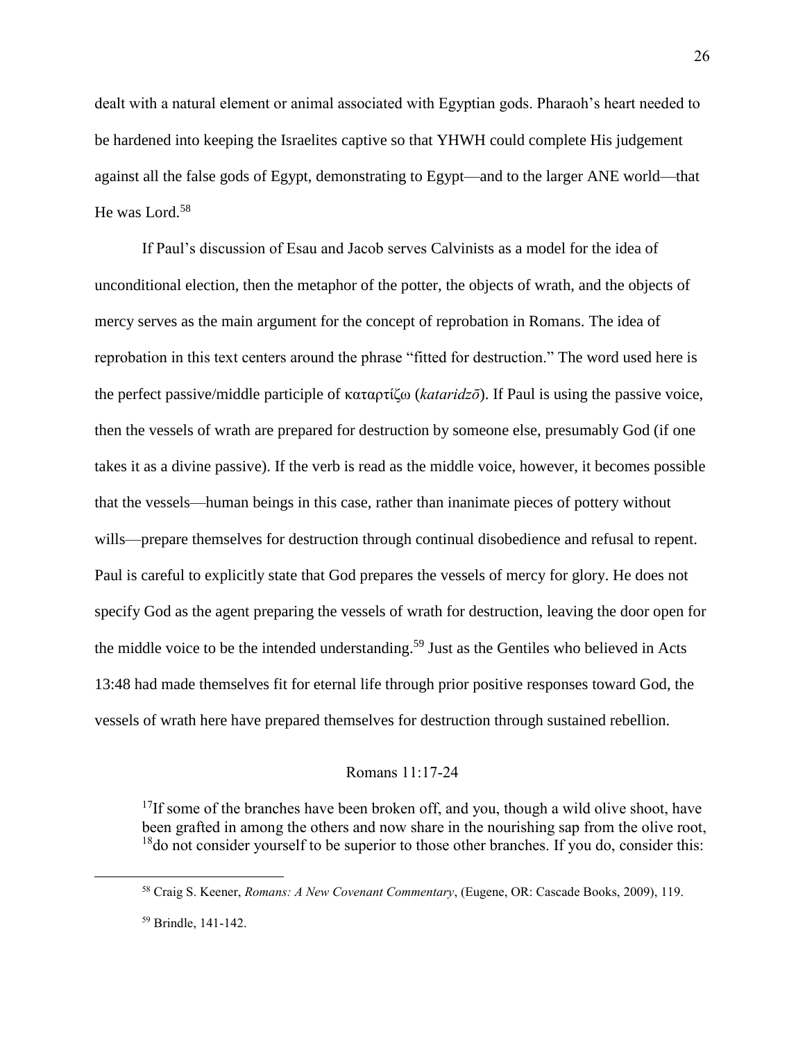dealt with a natural element or animal associated with Egyptian gods. Pharaoh's heart needed to be hardened into keeping the Israelites captive so that YHWH could complete His judgement against all the false gods of Egypt, demonstrating to Egypt—and to the larger ANE world—that He was Lord.<sup>58</sup>

If Paul's discussion of Esau and Jacob serves Calvinists as a model for the idea of unconditional election, then the metaphor of the potter, the objects of wrath, and the objects of mercy serves as the main argument for the concept of reprobation in Romans. The idea of reprobation in this text centers around the phrase "fitted for destruction." The word used here is the perfect passive/middle participle of καταρτίζω (*kataridzō*). If Paul is using the passive voice, then the vessels of wrath are prepared for destruction by someone else, presumably God (if one takes it as a divine passive). If the verb is read as the middle voice, however, it becomes possible that the vessels—human beings in this case, rather than inanimate pieces of pottery without wills—prepare themselves for destruction through continual disobedience and refusal to repent. Paul is careful to explicitly state that God prepares the vessels of mercy for glory. He does not specify God as the agent preparing the vessels of wrath for destruction, leaving the door open for the middle voice to be the intended understanding.<sup>59</sup> Just as the Gentiles who believed in Acts 13:48 had made themselves fit for eternal life through prior positive responses toward God, the vessels of wrath here have prepared themselves for destruction through sustained rebellion.

## Romans 11:17-24

 $17$ If some of the branches have been broken off, and you, though a wild olive shoot, have been grafted in among the others and now share in the nourishing sap from the olive root,  $18$ do not consider yourself to be superior to those other branches. If you do, consider this:

<sup>58</sup> Craig S. Keener, *Romans: A New Covenant Commentary*, (Eugene, OR: Cascade Books, 2009), 119.

<sup>59</sup> Brindle, 141-142.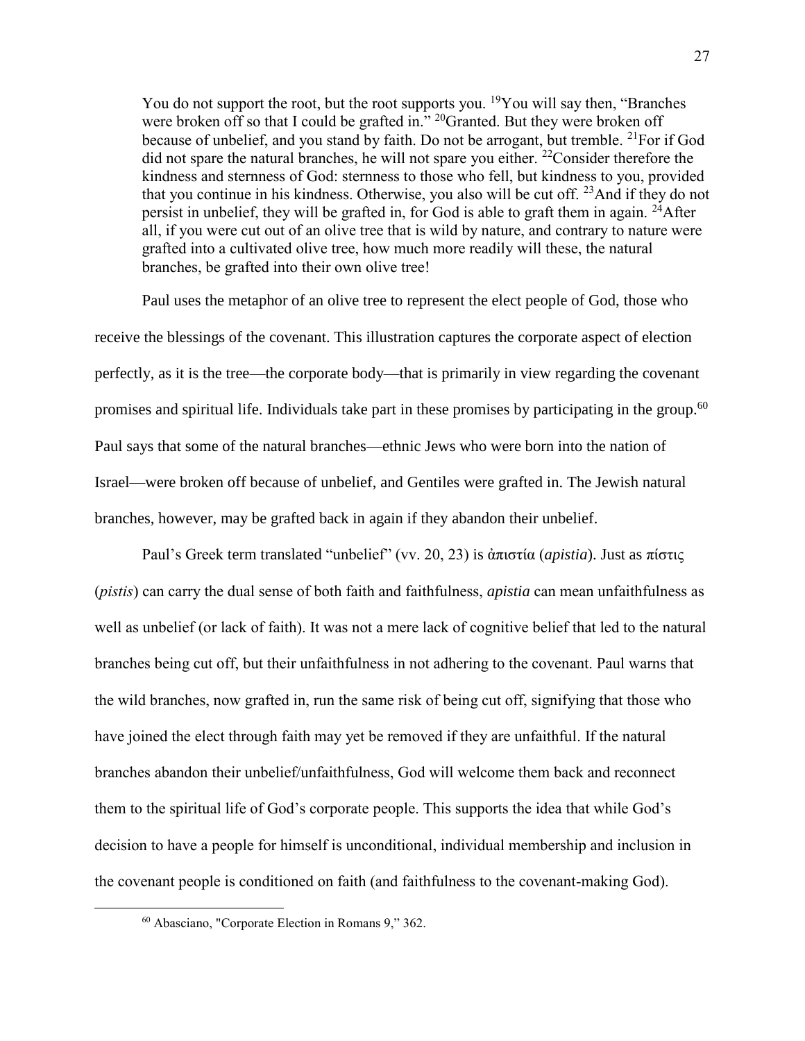You do not support the root, but the root supports you. <sup>19</sup>You will say then, "Branches" were broken off so that I could be grafted in." <sup>20</sup>Granted. But they were broken off because of unbelief, and you stand by faith. Do not be arrogant, but tremble. <sup>21</sup>For if God did not spare the natural branches, he will not spare you either. <sup>22</sup>Consider therefore the kindness and sternness of God: sternness to those who fell, but kindness to you, provided that you continue in his kindness. Otherwise, you also will be cut off.  $^{23}$ And if they do not persist in unbelief, they will be grafted in, for God is able to graft them in again. <sup>24</sup>After all, if you were cut out of an olive tree that is wild by nature, and contrary to nature were grafted into a cultivated olive tree, how much more readily will these, the natural branches, be grafted into their own olive tree!

Paul uses the metaphor of an olive tree to represent the elect people of God, those who receive the blessings of the covenant. This illustration captures the corporate aspect of election perfectly, as it is the tree—the corporate body—that is primarily in view regarding the covenant promises and spiritual life. Individuals take part in these promises by participating in the group.<sup>60</sup> Paul says that some of the natural branches—ethnic Jews who were born into the nation of Israel—were broken off because of unbelief, and Gentiles were grafted in. The Jewish natural branches, however, may be grafted back in again if they abandon their unbelief.

Paul's Greek term translated "unbelief" (vv. 20, 23) is ἀπιστία (*apistia*). Just as πίστις (*pistis*) can carry the dual sense of both faith and faithfulness, *apistia* can mean unfaithfulness as well as unbelief (or lack of faith). It was not a mere lack of cognitive belief that led to the natural branches being cut off, but their unfaithfulness in not adhering to the covenant. Paul warns that the wild branches, now grafted in, run the same risk of being cut off, signifying that those who have joined the elect through faith may yet be removed if they are unfaithful. If the natural branches abandon their unbelief/unfaithfulness, God will welcome them back and reconnect them to the spiritual life of God's corporate people. This supports the idea that while God's decision to have a people for himself is unconditional, individual membership and inclusion in the covenant people is conditioned on faith (and faithfulness to the covenant-making God).

<sup>60</sup> Abasciano, "Corporate Election in Romans 9," 362.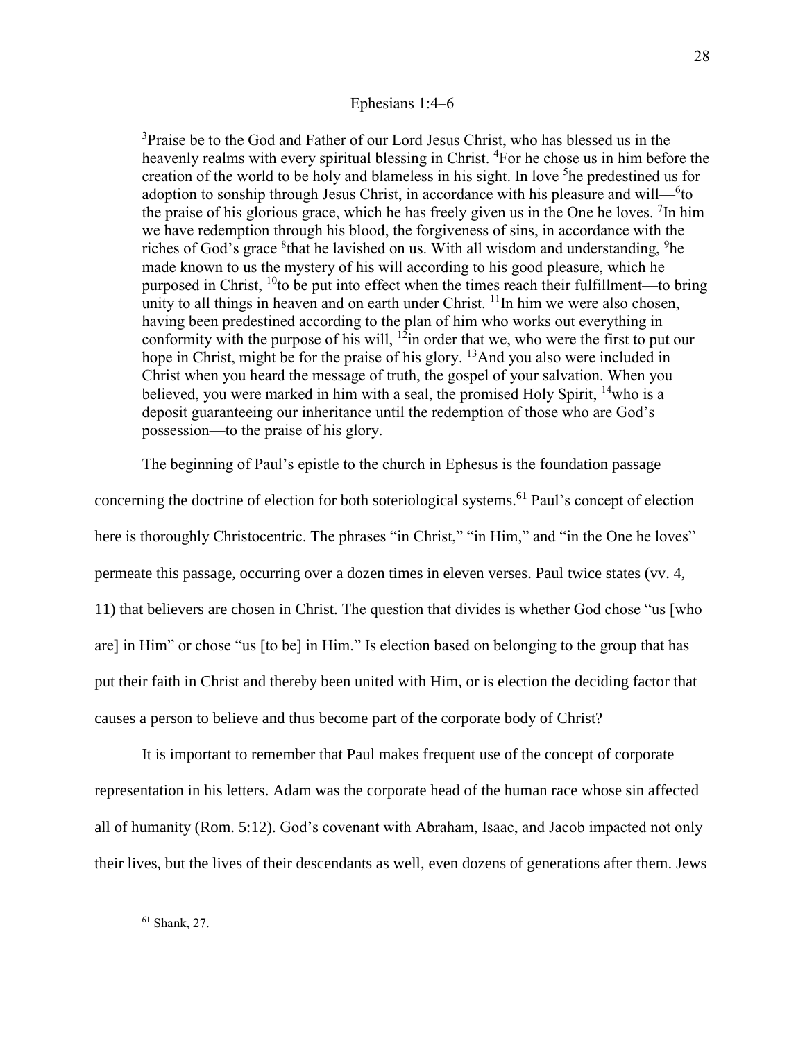## Ephesians 1:4–6

<sup>3</sup>Praise be to the God and Father of our Lord Jesus Christ, who has blessed us in the heavenly realms with every spiritual blessing in Christ. <sup>4</sup>For he chose us in him before the creation of the world to be holy and blameless in his sight. In love <sup>5</sup>he predestined us for adoption to sonship through Jesus Christ, in accordance with his pleasure and will— $6$ to the praise of his glorious grace, which he has freely given us in the One he loves.  ${}^{7}$ In him we have redemption through his blood, the forgiveness of sins, in accordance with the riches of God's grace <sup>8</sup>that he lavished on us. With all wisdom and understanding, <sup>9</sup>he made known to us the mystery of his will according to his good pleasure, which he purposed in Christ,  $^{10}$ to be put into effect when the times reach their fulfillment—to bring unity to all things in heaven and on earth under Christ.  $\frac{11}{1}$ In him we were also chosen, having been predestined according to the plan of him who works out everything in conformity with the purpose of his will,  $12$ in order that we, who were the first to put our hope in Christ, might be for the praise of his glory.  $^{13}$ And you also were included in Christ when you heard the message of truth, the gospel of your salvation. When you believed, you were marked in him with a seal, the promised Holy Spirit,  $14$  who is a deposit guaranteeing our inheritance until the redemption of those who are God's possession—to the praise of his glory.

The beginning of Paul's epistle to the church in Ephesus is the foundation passage

concerning the doctrine of election for both soteriological systems. <sup>61</sup> Paul's concept of election here is thoroughly Christocentric. The phrases "in Christ," "in Him," and "in the One he loves" permeate this passage, occurring over a dozen times in eleven verses. Paul twice states (vv. 4, 11) that believers are chosen in Christ. The question that divides is whether God chose "us [who are] in Him" or chose "us [to be] in Him." Is election based on belonging to the group that has put their faith in Christ and thereby been united with Him, or is election the deciding factor that causes a person to believe and thus become part of the corporate body of Christ?

It is important to remember that Paul makes frequent use of the concept of corporate representation in his letters. Adam was the corporate head of the human race whose sin affected all of humanity (Rom. 5:12). God's covenant with Abraham, Isaac, and Jacob impacted not only their lives, but the lives of their descendants as well, even dozens of generations after them. Jews

<sup>61</sup> Shank, 27.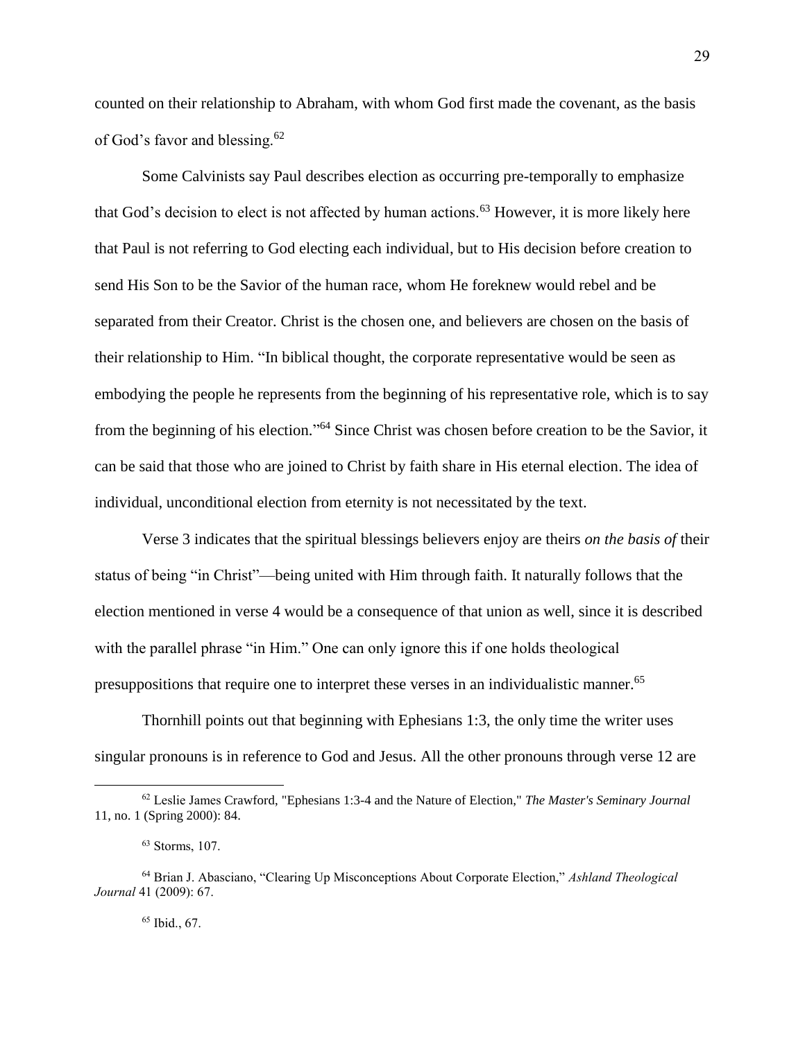counted on their relationship to Abraham, with whom God first made the covenant, as the basis of God's favor and blessing.<sup>62</sup>

Some Calvinists say Paul describes election as occurring pre-temporally to emphasize that God's decision to elect is not affected by human actions.<sup>63</sup> However, it is more likely here that Paul is not referring to God electing each individual, but to His decision before creation to send His Son to be the Savior of the human race, whom He foreknew would rebel and be separated from their Creator. Christ is the chosen one, and believers are chosen on the basis of their relationship to Him. "In biblical thought, the corporate representative would be seen as embodying the people he represents from the beginning of his representative role, which is to say from the beginning of his election."<sup>64</sup> Since Christ was chosen before creation to be the Savior, it can be said that those who are joined to Christ by faith share in His eternal election. The idea of individual, unconditional election from eternity is not necessitated by the text.

Verse 3 indicates that the spiritual blessings believers enjoy are theirs *on the basis of* their status of being "in Christ"—being united with Him through faith. It naturally follows that the election mentioned in verse 4 would be a consequence of that union as well, since it is described with the parallel phrase "in Him." One can only ignore this if one holds theological presuppositions that require one to interpret these verses in an individualistic manner.<sup>65</sup>

Thornhill points out that beginning with Ephesians 1:3, the only time the writer uses singular pronouns is in reference to God and Jesus. All the other pronouns through verse 12 are

<sup>62</sup> Leslie James Crawford, "Ephesians 1:3-4 and the Nature of Election," *The Master's Seminary Journal* 11, no. 1 (Spring 2000): 84.

<sup>63</sup> Storms, 107.

<sup>64</sup> Brian J. Abasciano, "Clearing Up Misconceptions About Corporate Election," *Ashland Theological Journal* 41 (2009): 67.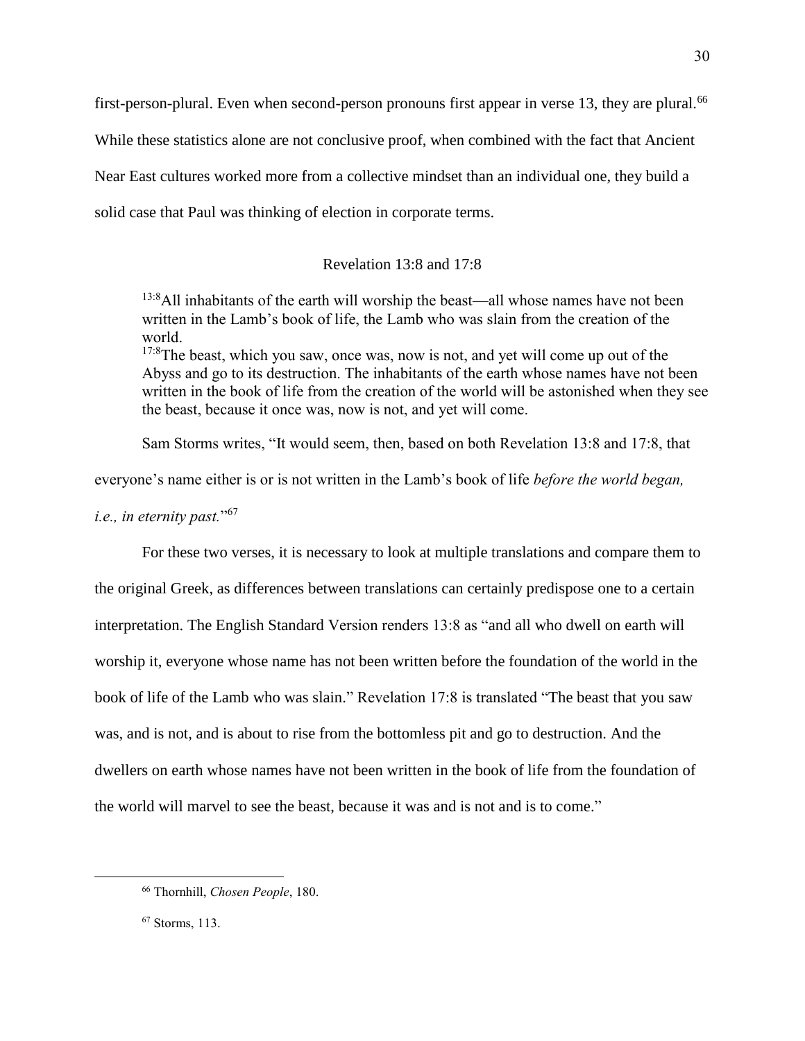first-person-plural. Even when second-person pronouns first appear in verse 13, they are plural.<sup>66</sup> While these statistics alone are not conclusive proof, when combined with the fact that Ancient Near East cultures worked more from a collective mindset than an individual one, they build a solid case that Paul was thinking of election in corporate terms.

## Revelation 13:8 and 17:8

<sup>13:8</sup>All inhabitants of the earth will worship the beast—all whose names have not been written in the Lamb's book of life, the Lamb who was slain from the creation of the world.

<sup>17:8</sup>The beast, which you saw, once was, now is not, and yet will come up out of the Abyss and go to its destruction. The inhabitants of the earth whose names have not been written in the book of life from the creation of the world will be astonished when they see the beast, because it once was, now is not, and yet will come.

Sam Storms writes, "It would seem, then, based on both Revelation 13:8 and 17:8, that

everyone's name either is or is not written in the Lamb's book of life *before the world began,* 

*i.e., in eternity past.*" 67

For these two verses, it is necessary to look at multiple translations and compare them to the original Greek, as differences between translations can certainly predispose one to a certain interpretation. The English Standard Version renders 13:8 as "and all who dwell on earth will worship it, everyone whose name has not been written before the foundation of the world in the book of life of the Lamb who was slain." Revelation 17:8 is translated "The beast that you saw was, and is not, and is about to rise from the bottomless pit and go to destruction. And the dwellers on earth whose names have not been written in the book of life from the foundation of the world will marvel to see the beast, because it was and is not and is to come."

<sup>66</sup> Thornhill, *Chosen People*, 180.

<sup>67</sup> Storms, 113.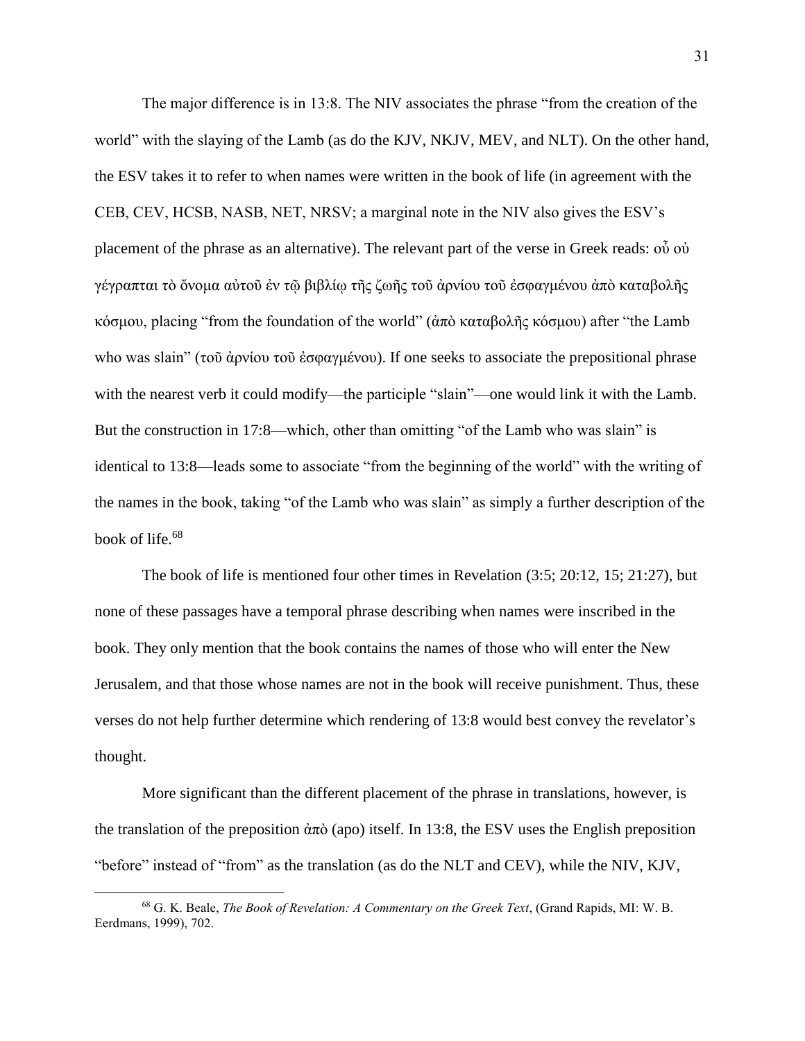The major difference is in 13:8. The NIV associates the phrase "from the creation of the world" with the slaying of the Lamb (as do the KJV, NKJV, MEV, and NLT). On the other hand, the ESV takes it to refer to when names were written in the book of life (in agreement with the CEB, CEV, HCSB, NASB, NET, NRSV; a marginal note in the NIV also gives the ESV's placement of the phrase as an alternative). The relevant part of the verse in Greek reads: οὗ οὐ γέγραπται τὸ ὄνομα αὐτοῦ ἐν τῷ βιβλίῳ τῆς ζωῆς τοῦ ἀρνίου τοῦ ἐσφαγμένου ἀπὸ καταβολῆς κόσμου, placing "from the foundation of the world" (ἀπὸ καταβολῆς κόσμου) after "the Lamb who was slain" (τοῦ ἀρνίου τοῦ ἐσφαγμένου). If one seeks to associate the prepositional phrase with the nearest verb it could modify—the participle "slain"—one would link it with the Lamb. But the construction in 17:8—which, other than omitting "of the Lamb who was slain" is identical to 13:8—leads some to associate "from the beginning of the world" with the writing of the names in the book, taking "of the Lamb who was slain" as simply a further description of the book of life.<sup>68</sup>

The book of life is mentioned four other times in Revelation (3:5; 20:12, 15; 21:27), but none of these passages have a temporal phrase describing when names were inscribed in the book. They only mention that the book contains the names of those who will enter the New Jerusalem, and that those whose names are not in the book will receive punishment. Thus, these verses do not help further determine which rendering of 13:8 would best convey the revelator's thought.

More significant than the different placement of the phrase in translations, however, is the translation of the preposition  $\dot{\alpha} \pi \dot{\alpha}$  (apo) itself. In 13:8, the ESV uses the English preposition "before" instead of "from" as the translation (as do the NLT and CEV), while the NIV, KJV,

<sup>68</sup> G. K. Beale, *The Book of Revelation: A Commentary on the Greek Text*, (Grand Rapids, MI: W. B. Eerdmans, 1999), 702.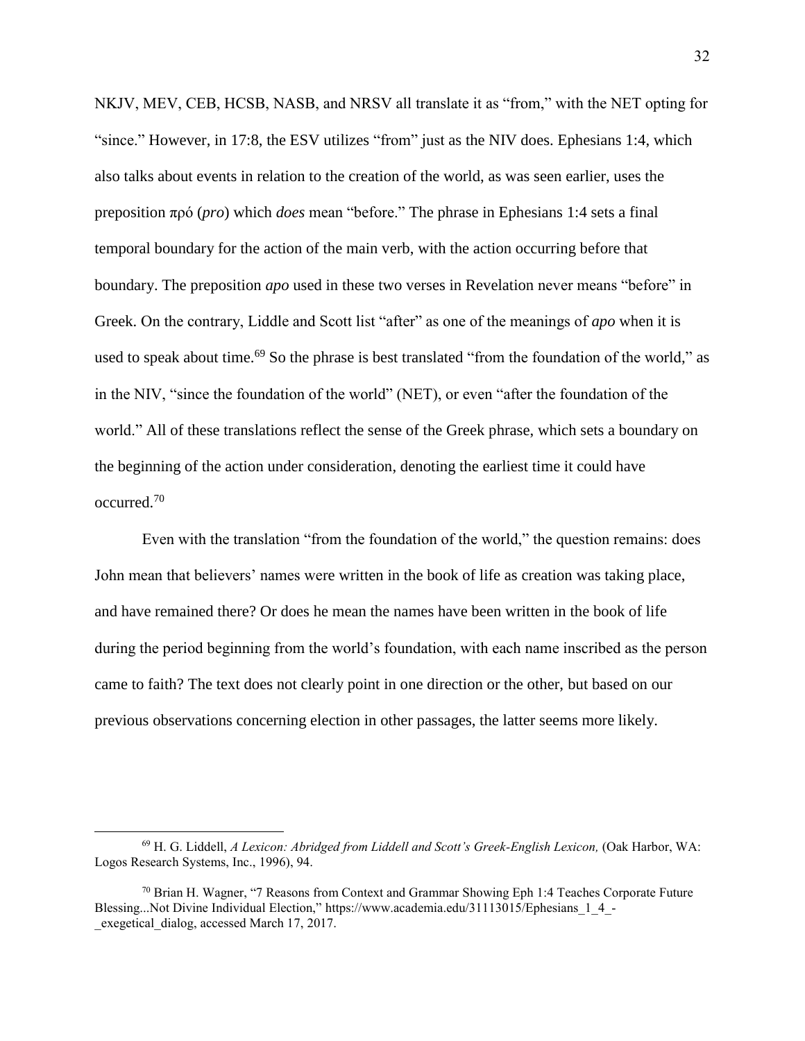NKJV, MEV, CEB, HCSB, NASB, and NRSV all translate it as "from," with the NET opting for "since." However, in 17:8, the ESV utilizes "from" just as the NIV does. Ephesians 1:4, which also talks about events in relation to the creation of the world, as was seen earlier, uses the preposition πρό (*pro*) which *does* mean "before." The phrase in Ephesians 1:4 sets a final temporal boundary for the action of the main verb, with the action occurring before that boundary. The preposition *apo* used in these two verses in Revelation never means "before" in Greek. On the contrary, Liddle and Scott list "after" as one of the meanings of *apo* when it is used to speak about time.<sup>69</sup> So the phrase is best translated "from the foundation of the world," as in the NIV, "since the foundation of the world" (NET), or even "after the foundation of the world." All of these translations reflect the sense of the Greek phrase, which sets a boundary on the beginning of the action under consideration, denoting the earliest time it could have occurred. 70

Even with the translation "from the foundation of the world," the question remains: does John mean that believers' names were written in the book of life as creation was taking place, and have remained there? Or does he mean the names have been written in the book of life during the period beginning from the world's foundation, with each name inscribed as the person came to faith? The text does not clearly point in one direction or the other, but based on our previous observations concerning election in other passages, the latter seems more likely.

<sup>69</sup> H. G. Liddell, *A Lexicon: Abridged from Liddell and Scott's Greek-English Lexicon,* (Oak Harbor, WA: Logos Research Systems, Inc., 1996), 94.

 $70$  Brian H. Wagner, "7 Reasons from Context and Grammar Showing Eph 1:4 Teaches Corporate Future Blessing...Not Divine Individual Election," https://www.academia.edu/31113015/Ephesians\_1\_4\_exegetical dialog, accessed March 17, 2017.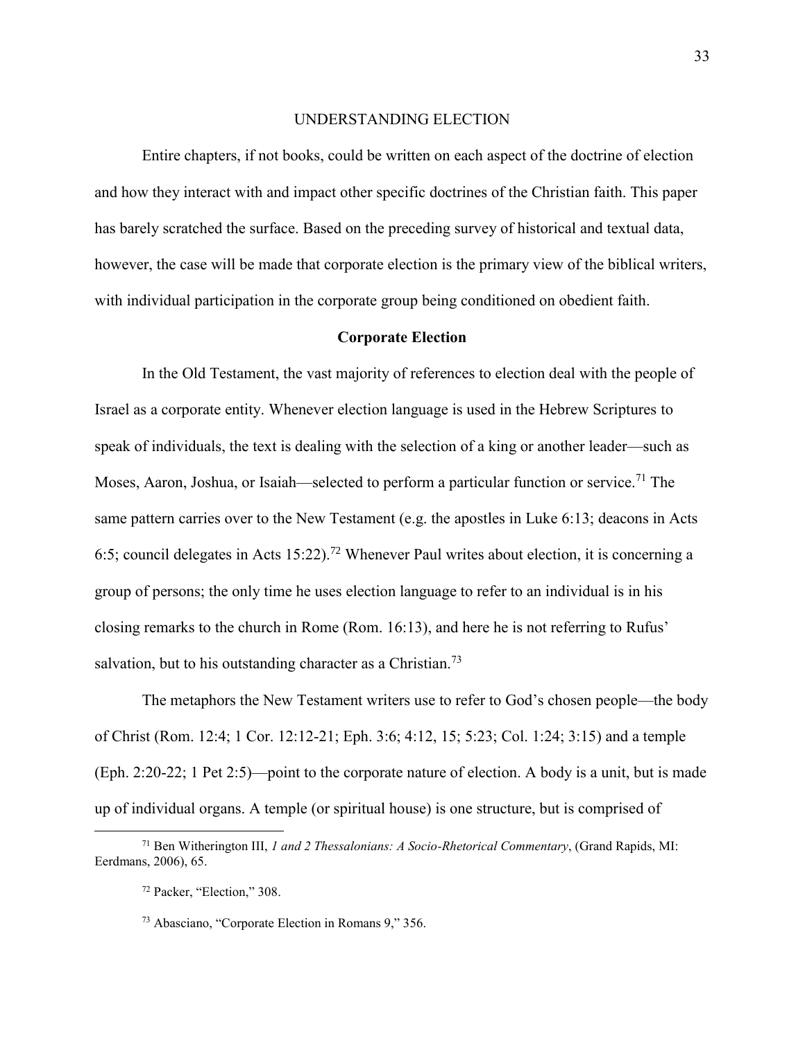#### UNDERSTANDING ELECTION

Entire chapters, if not books, could be written on each aspect of the doctrine of election and how they interact with and impact other specific doctrines of the Christian faith. This paper has barely scratched the surface. Based on the preceding survey of historical and textual data, however, the case will be made that corporate election is the primary view of the biblical writers, with individual participation in the corporate group being conditioned on obedient faith.

#### Corporate Election

In the Old Testament, the vast majority of references to election deal with the people of Israel as a corporate entity. Whenever election language is used in the Hebrew Scriptures to speak of individuals, the text is dealing with the selection of a king or another leader—such as Moses, Aaron, Joshua, or Isaiah—selected to perform a particular function or service.<sup>71</sup> The same pattern carries over to the New Testament (e.g. the apostles in Luke 6:13; deacons in Acts 6:5; council delegates in Acts 15:22).<sup>72</sup> Whenever Paul writes about election, it is concerning a group of persons; the only time he uses election language to refer to an individual is in his closing remarks to the church in Rome (Rom. 16:13), and here he is not referring to Rufus' salvation, but to his outstanding character as a Christian.<sup>73</sup>

The metaphors the New Testament writers use to refer to God's chosen people—the body of Christ (Rom. 12:4; 1 Cor. 12:12-21; Eph. 3:6; 4:12, 15; 5:23; Col. 1:24; 3:15) and a temple (Eph. 2:20-22; 1 Pet 2:5)—point to the corporate nature of election. A body is a unit, but is made up of individual organs. A temple (or spiritual house) is one structure, but is comprised of

<sup>71</sup> Ben Witherington III, *1 and 2 Thessalonians: A Socio-Rhetorical Commentary*, (Grand Rapids, MI: Eerdmans, 2006), 65.

<sup>72</sup> Packer, "Election," 308.

<sup>73</sup> Abasciano, "Corporate Election in Romans 9," 356.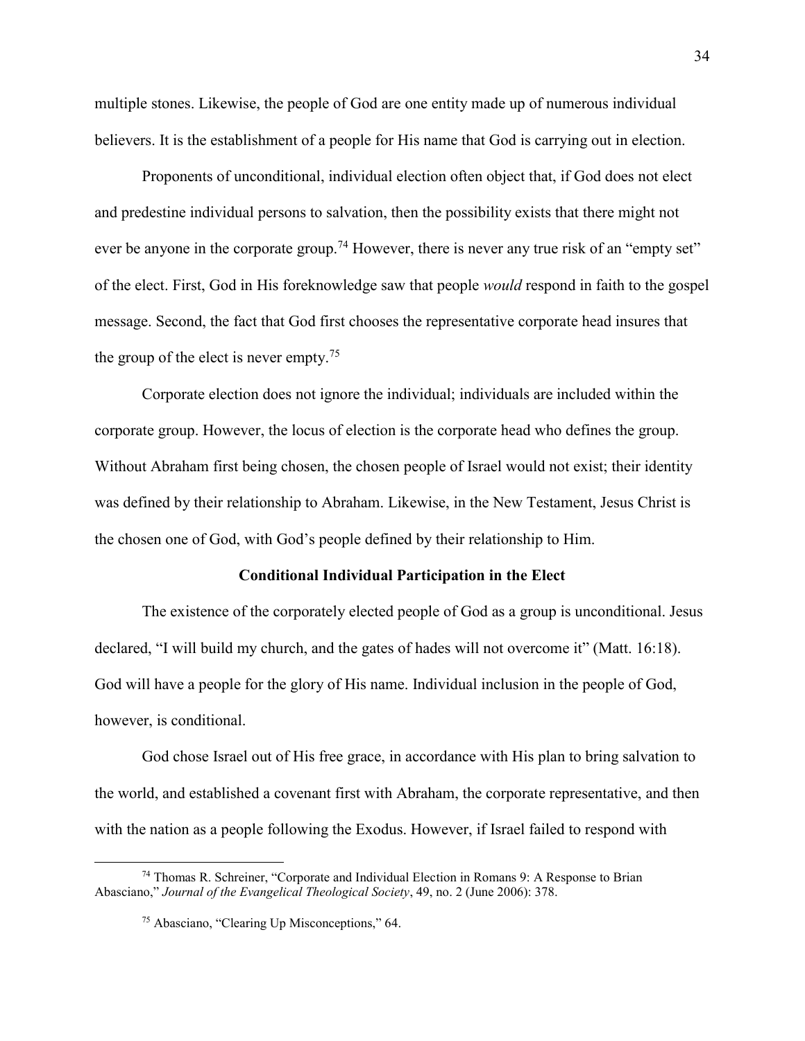multiple stones. Likewise, the people of God are one entity made up of numerous individual believers. It is the establishment of a people for His name that God is carrying out in election.

Proponents of unconditional, individual election often object that, if God does not elect and predestine individual persons to salvation, then the possibility exists that there might not ever be anyone in the corporate group.<sup>74</sup> However, there is never any true risk of an "empty set" of the elect. First, God in His foreknowledge saw that people *would* respond in faith to the gospel message. Second, the fact that God first chooses the representative corporate head insures that the group of the elect is never empty.<sup>75</sup>

Corporate election does not ignore the individual; individuals are included within the corporate group. However, the locus of election is the corporate head who defines the group. Without Abraham first being chosen, the chosen people of Israel would not exist; their identity was defined by their relationship to Abraham. Likewise, in the New Testament, Jesus Christ is the chosen one of God, with God's people defined by their relationship to Him.

## Conditional Individual Participation in the Elect

The existence of the corporately elected people of God as a group is unconditional. Jesus declared, "I will build my church, and the gates of hades will not overcome it" (Matt. 16:18). God will have a people for the glory of His name. Individual inclusion in the people of God, however, is conditional.

God chose Israel out of His free grace, in accordance with His plan to bring salvation to the world, and established a covenant first with Abraham, the corporate representative, and then with the nation as a people following the Exodus. However, if Israel failed to respond with

<sup>74</sup> Thomas R. Schreiner, "Corporate and Individual Election in Romans 9: A Response to Brian Abasciano," *Journal of the Evangelical Theological Society*, 49, no. 2 (June 2006): 378.

<sup>75</sup> Abasciano, "Clearing Up Misconceptions," 64.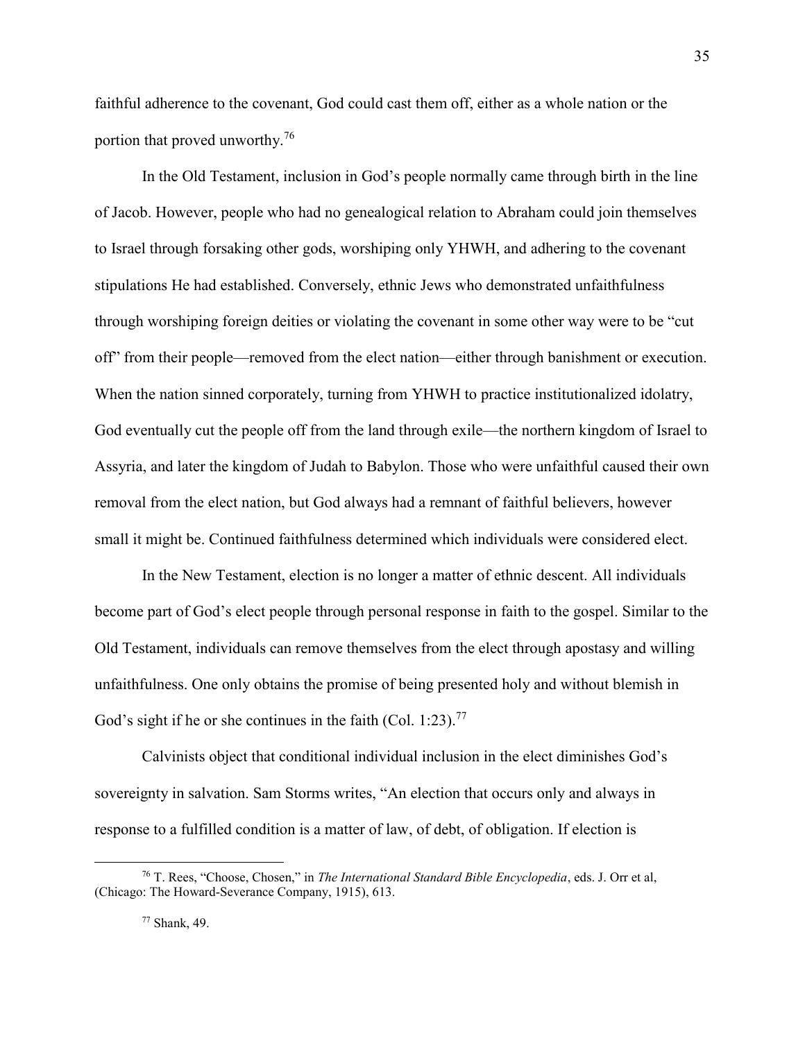faithful adherence to the covenant, God could cast them off, either as a whole nation or the portion that proved unworthy.<sup>76</sup>

In the Old Testament, inclusion in God's people normally came through birth in the line of Jacob. However, people who had no genealogical relation to Abraham could join themselves to Israel through forsaking other gods, worshiping only YHWH, and adhering to the covenant stipulations He had established. Conversely, ethnic Jews who demonstrated unfaithfulness through worshiping foreign deities or violating the covenant in some other way were to be "cut off" from their people—removed from the elect nation—either through banishment or execution. When the nation sinned corporately, turning from YHWH to practice institutionalized idolatry, God eventually cut the people off from the land through exile—the northern kingdom of Israel to Assyria, and later the kingdom of Judah to Babylon. Those who were unfaithful caused their own removal from the elect nation, but God always had a remnant of faithful believers, however small it might be. Continued faithfulness determined which individuals were considered elect.

In the New Testament, election is no longer a matter of ethnic descent. All individuals become part of God's elect people through personal response in faith to the gospel. Similar to the Old Testament, individuals can remove themselves from the elect through apostasy and willing unfaithfulness. One only obtains the promise of being presented holy and without blemish in God's sight if he or she continues in the faith (Col. 1:23).<sup>77</sup>

Calvinists object that conditional individual inclusion in the elect diminishes God's sovereignty in salvation. Sam Storms writes, "An election that occurs only and always in response to a fulfilled condition is a matter of law, of debt, of obligation. If election is

<sup>76</sup> T. Rees, "Choose, Chosen," in *The International Standard Bible Encyclopedia*, eds. J. Orr et al, (Chicago: The Howard-Severance Company, 1915), 613.

<sup>77</sup> Shank, 49.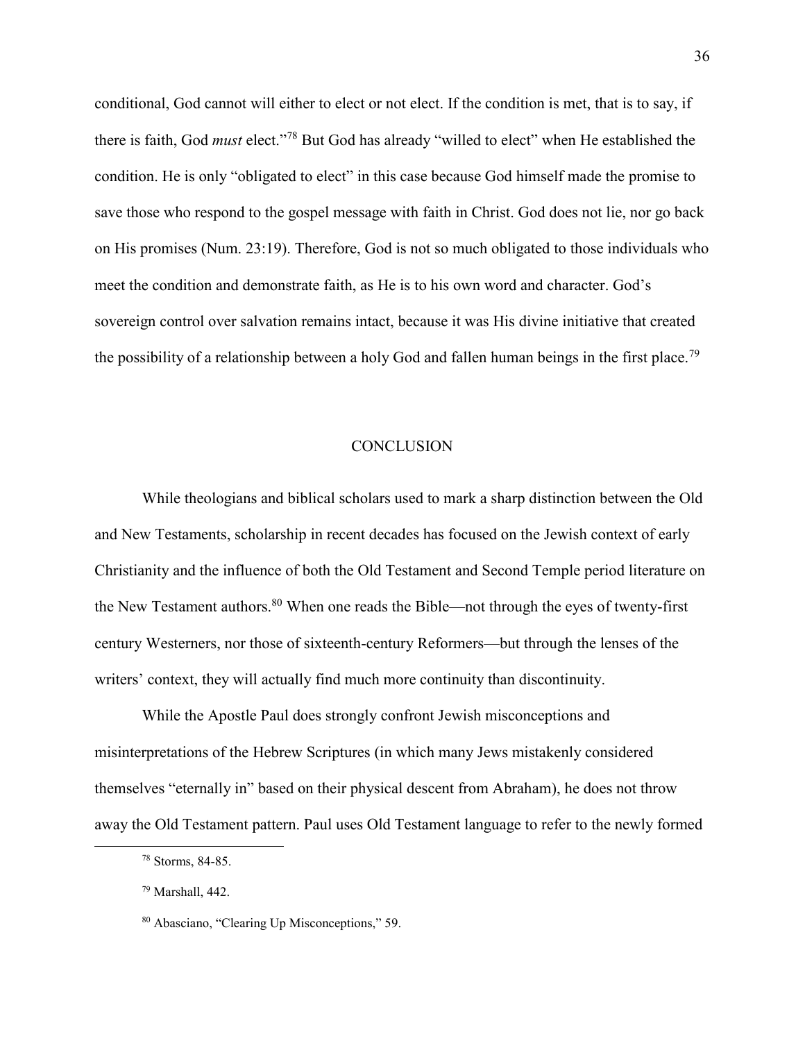conditional, God cannot will either to elect or not elect. If the condition is met, that is to say, if there is faith, God *must* elect."<sup>78</sup> But God has already "willed to elect" when He established the condition. He is only "obligated to elect" in this case because God himself made the promise to save those who respond to the gospel message with faith in Christ. God does not lie, nor go back on His promises (Num. 23:19). Therefore, God is not so much obligated to those individuals who meet the condition and demonstrate faith, as He is to his own word and character. God's sovereign control over salvation remains intact, because it was His divine initiative that created the possibility of a relationship between a holy God and fallen human beings in the first place.<sup>79</sup>

#### **CONCLUSION**

While theologians and biblical scholars used to mark a sharp distinction between the Old and New Testaments, scholarship in recent decades has focused on the Jewish context of early Christianity and the influence of both the Old Testament and Second Temple period literature on the New Testament authors. $80$  When one reads the Bible—not through the eyes of twenty-first century Westerners, nor those of sixteenth-century Reformers—but through the lenses of the writers' context, they will actually find much more continuity than discontinuity.

While the Apostle Paul does strongly confront Jewish misconceptions and misinterpretations of the Hebrew Scriptures (in which many Jews mistakenly considered themselves "eternally in" based on their physical descent from Abraham), he does not throw away the Old Testament pattern. Paul uses Old Testament language to refer to the newly formed

<sup>78</sup> Storms, 84-85.

<sup>79</sup> Marshall, 442.

<sup>80</sup> Abasciano, "Clearing Up Misconceptions," 59.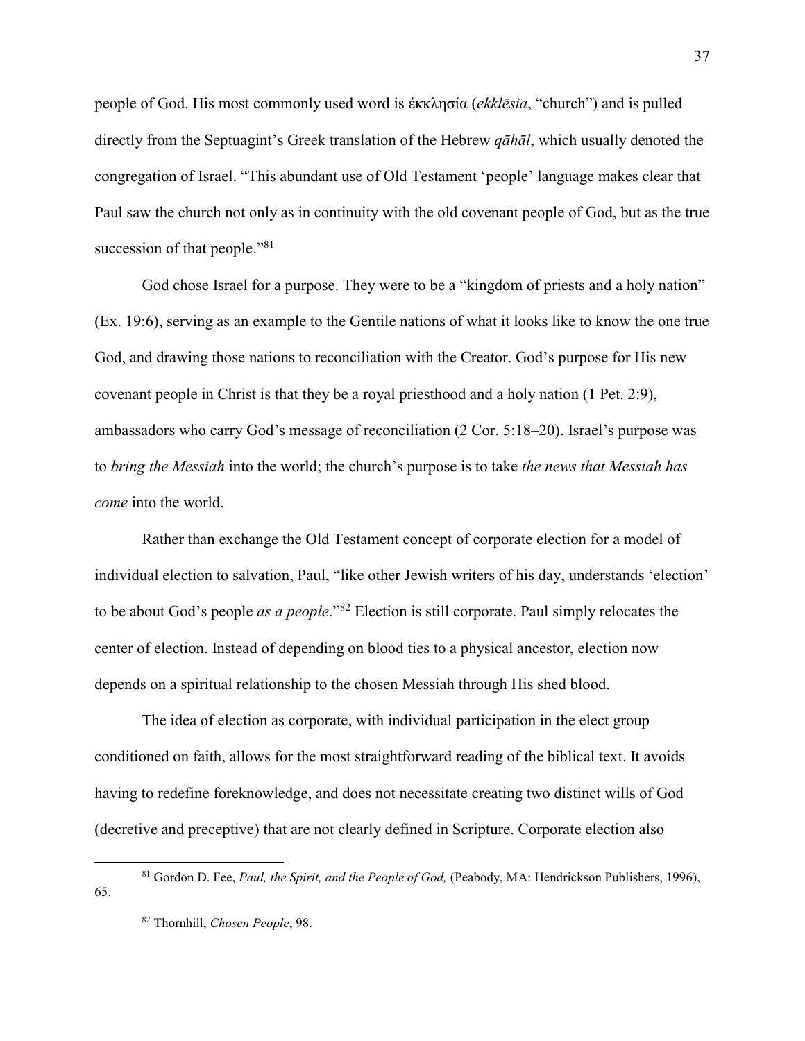people of God. His most commonly used word is ἐκκλησία (*ekklēsia*, "church") and is pulled directly from the Septuagint's Greek translation of the Hebrew *qāhāl*, which usually denoted the congregation of Israel. "This abundant use of Old Testament 'people' language makes clear that Paul saw the church not only as in continuity with the old covenant people of God, but as the true succession of that people."<sup>81</sup>

God chose Israel for a purpose. They were to be a "kingdom of priests and a holy nation" (Ex. 19:6), serving as an example to the Gentile nations of what it looks like to know the one true God, and drawing those nations to reconciliation with the Creator. God's purpose for His new covenant people in Christ is that they be a royal priesthood and a holy nation (1 Pet. 2:9), ambassadors who carry God's message of reconciliation (2 Cor. 5:18–20). Israel's purpose was to *bring the Messiah* into the world; the church's purpose is to take *the news that Messiah has come* into the world.

Rather than exchange the Old Testament concept of corporate election for a model of individual election to salvation, Paul, "like other Jewish writers of his day, understands 'election' to be about God's people *as a people*."<sup>82</sup> Election is still corporate. Paul simply relocates the center of election. Instead of depending on blood ties to a physical ancestor, election now depends on a spiritual relationship to the chosen Messiah through His shed blood.

The idea of election as corporate, with individual participation in the elect group conditioned on faith, allows for the most straightforward reading of the biblical text. It avoids having to redefine foreknowledge, and does not necessitate creating two distinct wills of God (decretive and preceptive) that are not clearly defined in Scripture. Corporate election also

<sup>81</sup> Gordon D. Fee, *Paul, the Spirit, and the People of God,* (Peabody, MA: Hendrickson Publishers, 1996), 65.

<sup>82</sup> Thornhill, *Chosen People*, 98.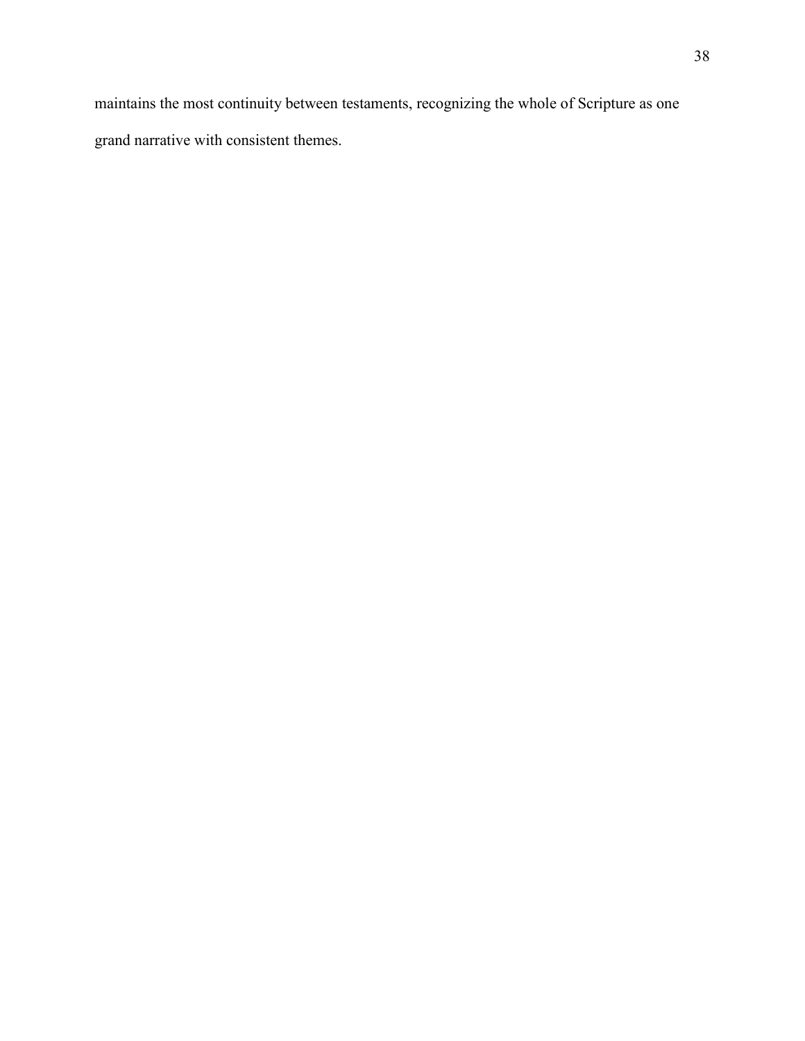maintains the most continuity between testaments, recognizing the whole of Scripture as one grand narrative with consistent themes.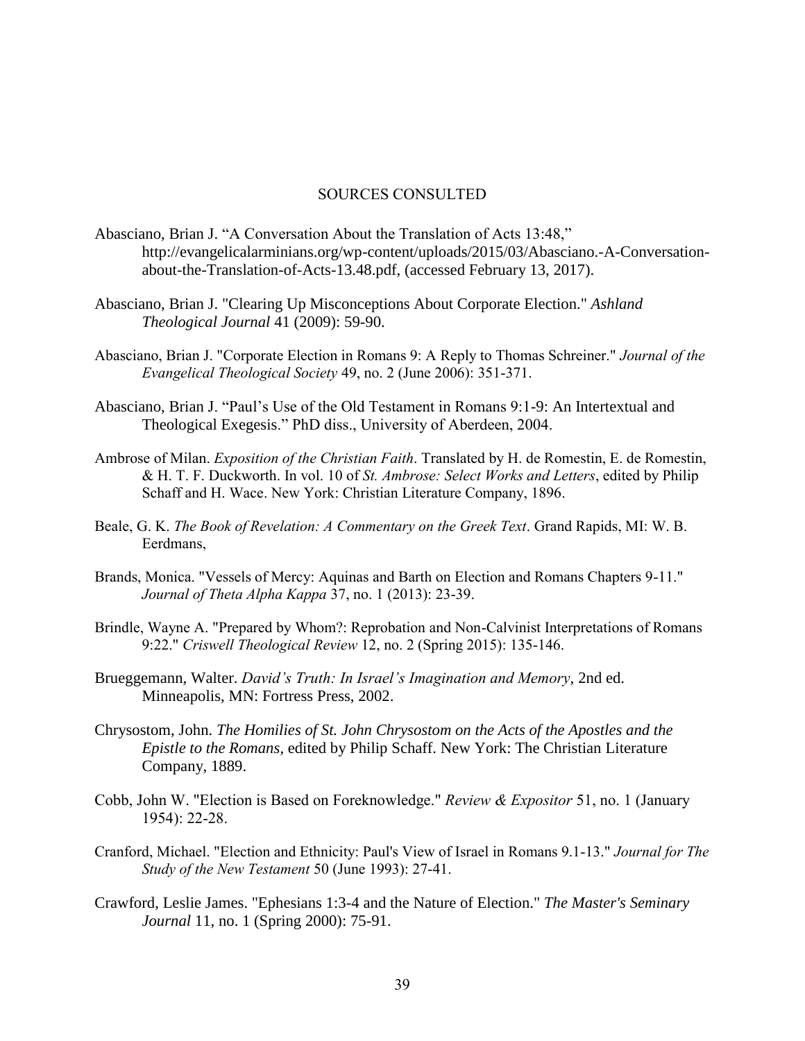#### SOURCES CONSULTED

- Abasciano, Brian J. "A Conversation About the Translation of Acts 13:48," http://evangelicalarminians.org/wp-content/uploads/2015/03/Abasciano.-A-Conversationabout-the-Translation-of-Acts-13.48.pdf, (accessed February 13, 2017).
- Abasciano, Brian J. "Clearing Up Misconceptions About Corporate Election." *Ashland Theological Journal* 41 (2009): 59-90.
- Abasciano, Brian J. "Corporate Election in Romans 9: A Reply to Thomas Schreiner." *Journal of the Evangelical Theological Society* 49, no. 2 (June 2006): 351-371.
- Abasciano, Brian J. "Paul's Use of the Old Testament in Romans 9:1-9: An Intertextual and Theological Exegesis." PhD diss., University of Aberdeen, 2004.
- Ambrose of Milan. *Exposition of the Christian Faith*. Translated by H. de Romestin, E. de Romestin, & H. T. F. Duckworth. In vol. 10 of *St. Ambrose: Select Works and Letters*, edited by Philip Schaff and H. Wace. New York: Christian Literature Company, 1896.
- Beale, G. K. *The Book of Revelation: A Commentary on the Greek Text*. Grand Rapids, MI: W. B. Eerdmans,
- Brands, Monica. "Vessels of Mercy: Aquinas and Barth on Election and Romans Chapters 9-11." *Journal of Theta Alpha Kappa* 37, no. 1 (2013): 23-39.
- Brindle, Wayne A. "Prepared by Whom?: Reprobation and Non-Calvinist Interpretations of Romans 9:22." *Criswell Theological Review* 12, no. 2 (Spring 2015): 135-146.
- Brueggemann, Walter. *David's Truth: In Israel's Imagination and Memory*, 2nd ed. Minneapolis, MN: Fortress Press, 2002.
- Chrysostom, John. *The Homilies of St. John Chrysostom on the Acts of the Apostles and the Epistle to the Romans*, edited by Philip Schaff. New York: The Christian Literature Company, 1889.
- Cobb, John W. "Election is Based on Foreknowledge." *Review & Expositor* 51, no. 1 (January 1954): 22-28.
- Cranford, Michael. "Election and Ethnicity: Paul's View of Israel in Romans 9.1-13." *Journal for The Study of the New Testament* 50 (June 1993): 27-41.
- Crawford, Leslie James. "Ephesians 1:3-4 and the Nature of Election." *The Master's Seminary Journal* 11, no. 1 (Spring 2000): 75-91.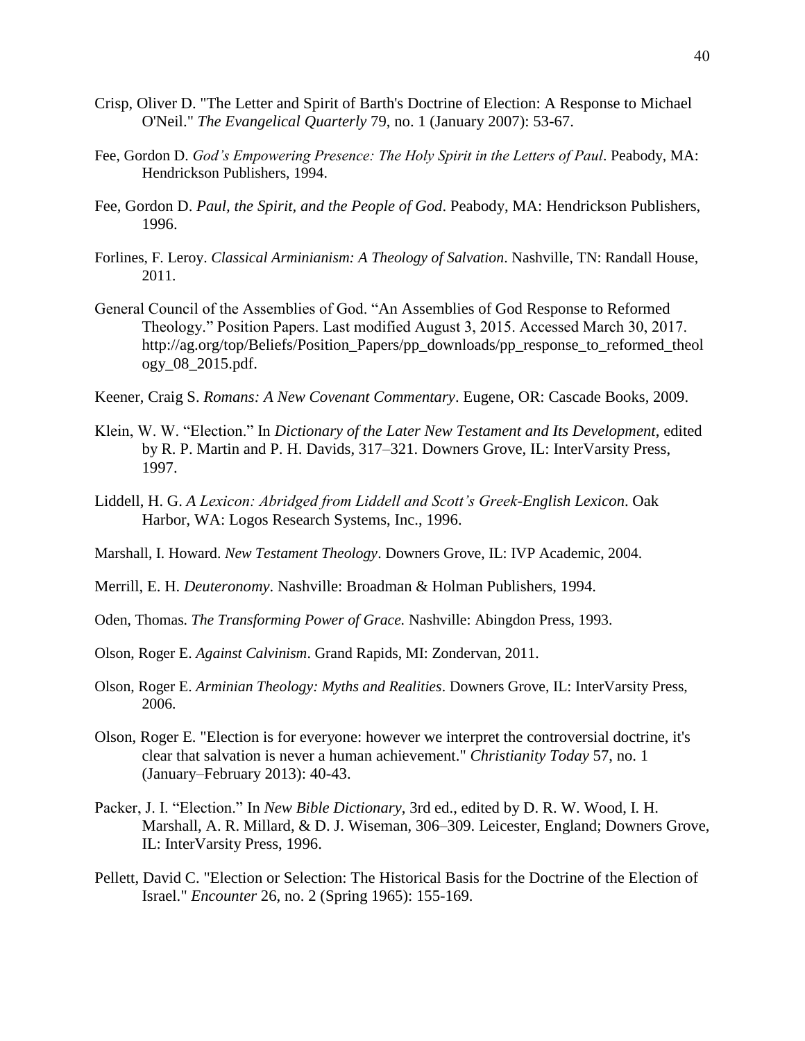- Crisp, Oliver D. "The Letter and Spirit of Barth's Doctrine of Election: A Response to Michael O'Neil." *The Evangelical Quarterly* 79, no. 1 (January 2007): 53-67.
- Fee, Gordon D. *God's Empowering Presence: The Holy Spirit in the Letters of Paul*. Peabody, MA: Hendrickson Publishers, 1994.
- Fee, Gordon D. *Paul, the Spirit, and the People of God*. Peabody, MA: Hendrickson Publishers, 1996.
- Forlines, F. Leroy. *Classical Arminianism: A Theology of Salvation*. Nashville, TN: Randall House, 2011.
- General Council of the Assemblies of God. "An Assemblies of God Response to Reformed Theology." Position Papers. Last modified August 3, 2015. Accessed March 30, 2017. http://ag.org/top/Beliefs/Position\_Papers/pp\_downloads/pp\_response\_to\_reformed\_theol ogy\_08\_2015.pdf.
- Keener, Craig S. *Romans: A New Covenant Commentary*. Eugene, OR: Cascade Books, 2009.
- Klein, W. W. "Election." In *Dictionary of the Later New Testament and Its Development*, edited by R. P. Martin and P. H. Davids, 317–321. Downers Grove, IL: InterVarsity Press, 1997.
- Liddell, H. G. *A Lexicon: Abridged from Liddell and Scott's Greek-English Lexicon*. Oak Harbor, WA: Logos Research Systems, Inc., 1996.
- Marshall, I. Howard. *New Testament Theology*. Downers Grove, IL: IVP Academic, 2004.
- Merrill, E. H. *Deuteronomy*. Nashville: Broadman & Holman Publishers, 1994.
- Oden, Thomas. *The Transforming Power of Grace.* Nashville: Abingdon Press, 1993.
- Olson, Roger E. *Against Calvinism*. Grand Rapids, MI: Zondervan, 2011.
- Olson, Roger E. *Arminian Theology: Myths and Realities*. Downers Grove, IL: InterVarsity Press, 2006.
- Olson, Roger E. "Election is for everyone: however we interpret the controversial doctrine, it's clear that salvation is never a human achievement." *Christianity Today* 57, no. 1 (January–February 2013): 40-43.
- Packer, J. I. "Election." In *New Bible Dictionary*, 3rd ed., edited by D. R. W. Wood, I. H. Marshall, A. R. Millard, & D. J. Wiseman, 306–309. Leicester, England; Downers Grove, IL: InterVarsity Press, 1996.
- Pellett, David C. "Election or Selection: The Historical Basis for the Doctrine of the Election of Israel." *Encounter* 26, no. 2 (Spring 1965): 155-169.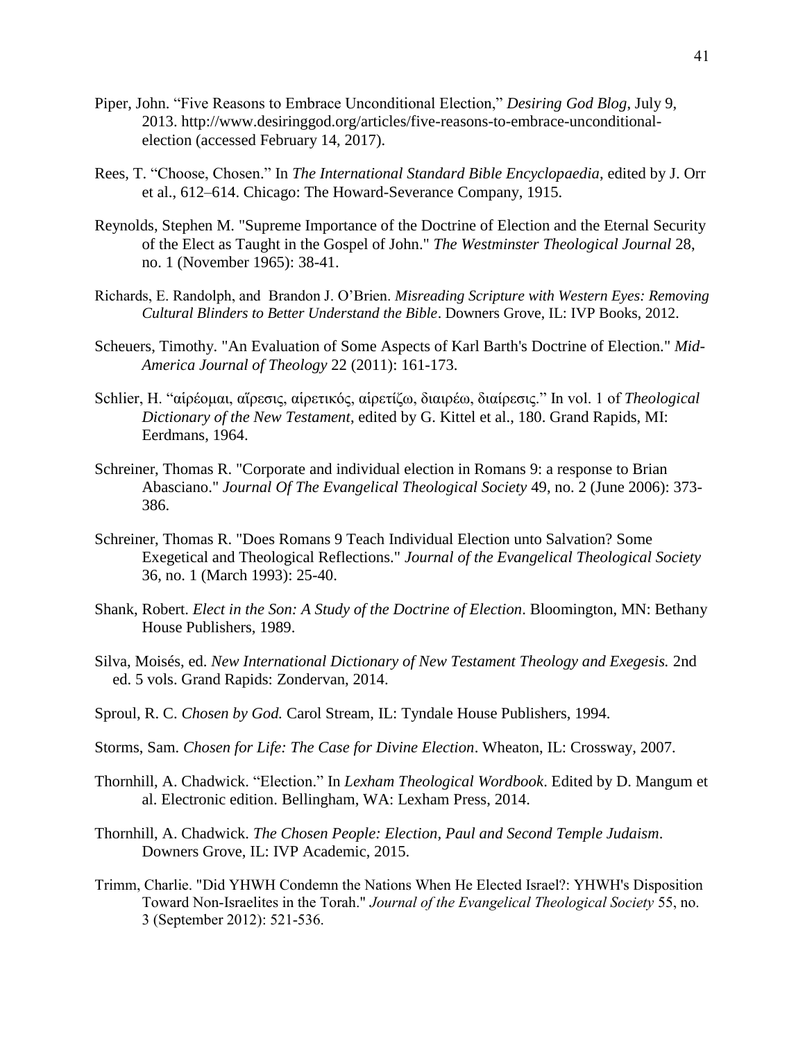- Piper, John. "Five Reasons to Embrace Unconditional Election," *Desiring God Blog*, July 9, 2013. http://www.desiringgod.org/articles/five-reasons-to-embrace-unconditionalelection (accessed February 14, 2017).
- Rees, T. "Choose, Chosen." In *The International Standard Bible Encyclopaedia*, edited by J. Orr et al., 612–614. Chicago: The Howard-Severance Company, 1915.
- Reynolds, Stephen M. "Supreme Importance of the Doctrine of Election and the Eternal Security of the Elect as Taught in the Gospel of John." *The Westminster Theological Journal* 28, no. 1 (November 1965): 38-41.
- Richards, E. Randolph, and Brandon J. O'Brien. *Misreading Scripture with Western Eyes: Removing Cultural Blinders to Better Understand the Bible*. Downers Grove, IL: IVP Books, 2012.
- Scheuers, Timothy. "An Evaluation of Some Aspects of Karl Barth's Doctrine of Election." *Mid-America Journal of Theology* 22 (2011): 161-173.
- Schlier, H. "αἱρέομαι, αἵρεσις, αἱρετικός, αἱρετίζω, διαιρέω, διαίρεσις." In vol. 1 of *Theological Dictionary of the New Testament*, edited by G. Kittel et al., 180. Grand Rapids, MI: Eerdmans, 1964.
- Schreiner, Thomas R. "Corporate and individual election in Romans 9: a response to Brian Abasciano." *Journal Of The Evangelical Theological Society* 49, no. 2 (June 2006): 373- 386.
- Schreiner, Thomas R. "Does Romans 9 Teach Individual Election unto Salvation? Some Exegetical and Theological Reflections." *Journal of the Evangelical Theological Society* 36, no. 1 (March 1993): 25-40.
- Shank, Robert. *Elect in the Son: A Study of the Doctrine of Election*. Bloomington, MN: Bethany House Publishers, 1989.
- Silva, Moisés, ed. *New International Dictionary of New Testament Theology and Exegesis.* 2nd ed. 5 vols. Grand Rapids: Zondervan, 2014.
- Sproul, R. C. *Chosen by God.* Carol Stream, IL: Tyndale House Publishers, 1994.
- Storms, Sam. *Chosen for Life: The Case for Divine Election*. Wheaton, IL: Crossway, 2007.
- Thornhill, A. Chadwick. "Election." In *Lexham Theological Wordbook*. Edited by D. Mangum et al. Electronic edition. Bellingham, WA: Lexham Press, 2014.
- Thornhill, A. Chadwick. *The Chosen People: Election, Paul and Second Temple Judaism*. Downers Grove, IL: IVP Academic, 2015.
- Trimm, Charlie. "Did YHWH Condemn the Nations When He Elected Israel?: YHWH's Disposition Toward Non-Israelites in the Torah." *Journal of the Evangelical Theological Society* 55, no. 3 (September 2012): 521-536.